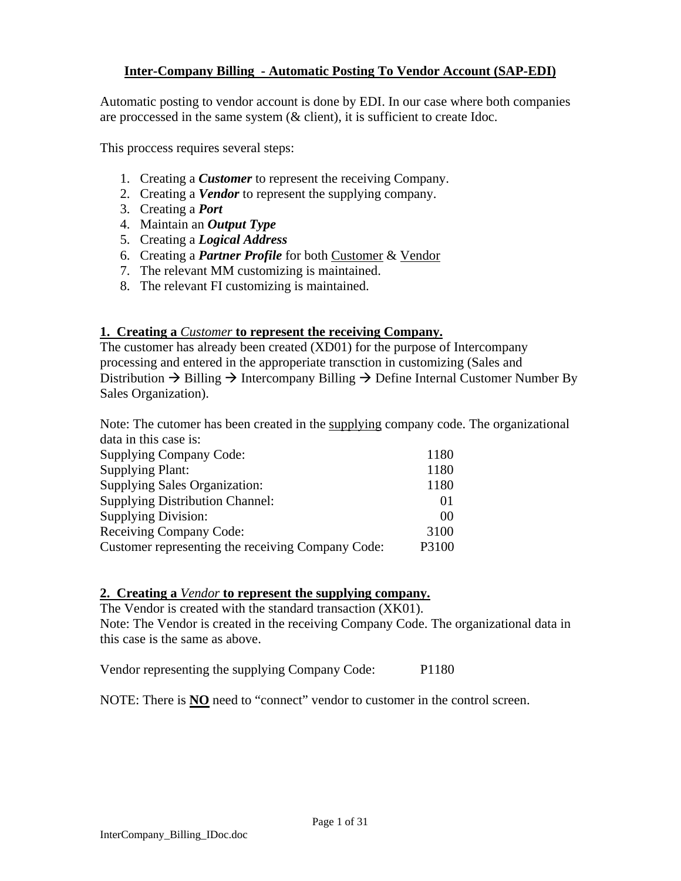## **Inter-Company Billing - Automatic Posting To Vendor Account (SAP-EDI)**

Automatic posting to vendor account is done by EDI. In our case where both companies are proccessed in the same system (& client), it is sufficient to create Idoc.

This proccess requires several steps:

- 1. Creating a *Customer* to represent the receiving Company.
- 2. Creating a *Vendor* to represent the supplying company.
- 3. Creating a *Port*
- 4. Maintain an *Output Type*
- 5. Creating a *Logical Address*
- 6. Creating a *Partner Profile* for both Customer & Vendor
- 7. The relevant MM customizing is maintained.
- 8. The relevant FI customizing is maintained.

### **1. Creating a** *Customer* **to represent the receiving Company.**

The customer has already been created (XD01) for the purpose of Intercompany processing and entered in the approperiate transction in customizing (Sales and Distribution  $\rightarrow$  Billing  $\rightarrow$  Intercompany Billing  $\rightarrow$  Define Internal Customer Number By Sales Organization).

Note: The cutomer has been created in the supplying company code. The organizational data in this case is:

| 1180    |
|---------|
| 1180    |
| 1180    |
| $_{01}$ |
| 00      |
| 3100    |
| P3100   |
|         |

## **2. Creating a** *Vendor* **to represent the supplying company.**

The Vendor is created with the standard transaction (XK01). Note: The Vendor is created in the receiving Company Code. The organizational data in this case is the same as above.

Vendor representing the supplying Company Code: P1180

NOTE: There is **NO** need to "connect" vendor to customer in the control screen.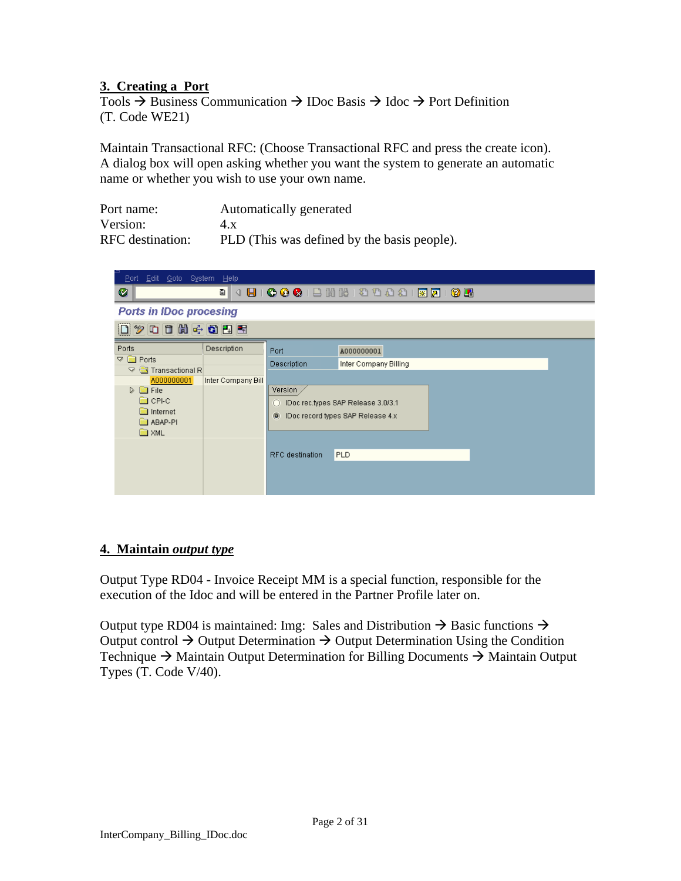## **3. Creating a Port**

Tools  $\rightarrow$  Business Communication  $\rightarrow$  IDoc Basis  $\rightarrow$  Idoc  $\rightarrow$  Port Definition (T. Code WE21)

Maintain Transactional RFC: (Choose Transactional RFC and press the create icon). A dialog box will open asking whether you want the system to generate an automatic name or whether you wish to use your own name.

| Port name:              | Automatically generated                     |
|-------------------------|---------------------------------------------|
| Version:                | 4.x                                         |
| <b>RFC</b> destination: | PLD (This was defined by the basis people). |

| Edit Goto System Help<br>Port                                                                                                                                                                               |                                   |                                                                      |                                                                                                                       |  |  |  |
|-------------------------------------------------------------------------------------------------------------------------------------------------------------------------------------------------------------|-----------------------------------|----------------------------------------------------------------------|-----------------------------------------------------------------------------------------------------------------------|--|--|--|
| Ø                                                                                                                                                                                                           | 圁                                 |                                                                      | 4 B   C G C   B H H H D O O A   K 5   G G                                                                             |  |  |  |
|                                                                                                                                                                                                             | <b>Ports in IDoc procesing</b>    |                                                                      |                                                                                                                       |  |  |  |
|                                                                                                                                                                                                             | 020004005                         |                                                                      |                                                                                                                       |  |  |  |
| Ports<br>$\heartsuit$ <b>a</b> Ports<br>$\nabla$ $\blacksquare$ Transactional R<br>A000000001<br>$\triangleright$ $\blacksquare$ File<br><b>ES</b> CPI-C<br>Internet<br><b>EXABAP-PL</b><br><b>BEER XML</b> | Description<br>Inter Company Bill | Port<br>Description<br>Version,<br>$\circ$<br><b>RFC</b> destination | A000000001<br>Inter Company Billing<br>IDoc rec.types SAP Release 3.0/3.1<br>IDoc record types SAP Release 4.x<br>PLD |  |  |  |
|                                                                                                                                                                                                             |                                   |                                                                      |                                                                                                                       |  |  |  |

### **4. Maintain** *output type*

Output Type RD04 - Invoice Receipt MM is a special function, responsible for the execution of the Idoc and will be entered in the Partner Profile later on.

Output type RD04 is maintained: Img: Sales and Distribution  $\rightarrow$  Basic functions  $\rightarrow$ Output control  $\rightarrow$  Output Determination  $\rightarrow$  Output Determination Using the Condition Technique  $\rightarrow$  Maintain Output Determination for Billing Documents  $\rightarrow$  Maintain Output Types (T. Code V/40).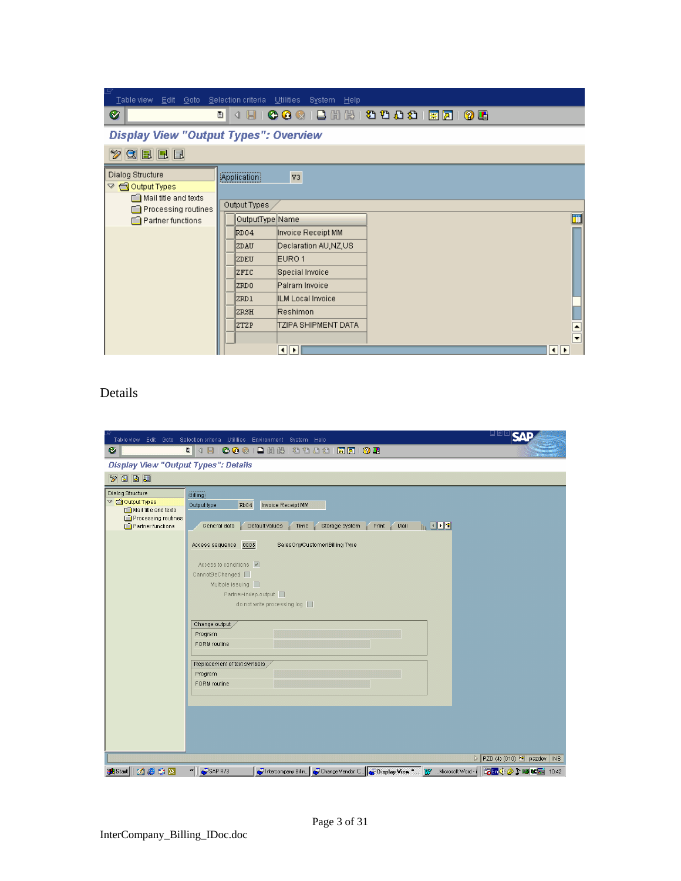| Table view                                                                  |   |                             | Edit Goto Selection-criteria Utilities System Help |                          |  |
|-----------------------------------------------------------------------------|---|-----------------------------|----------------------------------------------------|--------------------------|--|
| Ø                                                                           | 圁 | ◁<br>H                      |                                                    | COC  BHK  80002  FFF  OF |  |
| <b>Display View "Output Types": Overview</b>                                |   |                             |                                                    |                          |  |
| $\mathscr{D}$ qee                                                           |   |                             |                                                    |                          |  |
| Dialog Structure<br>$\nabla \bigoplus$ Output Types<br>Mail title and texts |   | Application<br>Output Types | V3                                                 |                          |  |
| Processing routines<br>Partner functions                                    |   | OutputType Name             |                                                    | 団                        |  |
|                                                                             |   | RD04<br>ZDAU                | Invoice Receipt MM<br>Declaration AU, NZ, US       |                          |  |
|                                                                             |   | ZDEU<br>ZFIC                | EURO 1<br>Special Invoice                          |                          |  |
|                                                                             |   | IZRDO                       | Palram Invoice                                     |                          |  |
|                                                                             |   | IZRD 1<br><b>ZRSH</b>       | ILM Local Invoice<br>Reshimon                      |                          |  |
|                                                                             |   | <b>ZTZP</b>                 | ITZIPA SHIPMENT DATA                               |                          |  |
|                                                                             |   |                             | $\blacksquare$                                     | ∣▼<br>$\blacksquare$     |  |

## Details

| 口回<br>Table view Edit Goto Selection criteria Utilities Environment System Help                                                                                                                                                                                                                                                                                                                                                                                                                                                                                  | SΔ                                    |
|------------------------------------------------------------------------------------------------------------------------------------------------------------------------------------------------------------------------------------------------------------------------------------------------------------------------------------------------------------------------------------------------------------------------------------------------------------------------------------------------------------------------------------------------------------------|---------------------------------------|
| <b>00018 2000187105</b><br>Ø<br>$\begin{array}{c c c c c} \hline \textbf{a} & \textbf{a} & \textbf{b} \\ \hline \end{array}$                                                                                                                                                                                                                                                                                                                                                                                                                                     |                                       |
| <b>Display View "Output Types": Details</b>                                                                                                                                                                                                                                                                                                                                                                                                                                                                                                                      |                                       |
| 240                                                                                                                                                                                                                                                                                                                                                                                                                                                                                                                                                              |                                       |
| Dialog Structure<br>Billing:<br>Output Types<br>Invoice Receipt MM<br>Output type<br>RD04<br>Mail title and texts<br>Processing routines<br><b>IN OPP</b><br>Partner functions<br>General data<br>Default values<br>Time<br>Mail<br>Storage system<br>Print<br>SalesOrg/Customer/Billing Type<br>Access sequence 0005<br>Access to conditions V<br>CannotBeChanged  <br>Multiple issuing<br>Partner-indep.output D<br>do not write processing log a<br>Change output<br>Program<br>FORM routine<br>Replacement of text symbols<br>Program<br><b>FORM</b> routine |                                       |
|                                                                                                                                                                                                                                                                                                                                                                                                                                                                                                                                                                  |                                       |
| <b>Bing Start</b>   31 @ 15   13  <br>$S1$ SAP R/3<br>Change Vendor: C Display View "<br>Ⅳ  Microsoft Word - 日日日午 <del>会</del> 10:42<br>$\boldsymbol{\mathcal{V}}$                                                                                                                                                                                                                                                                                                                                                                                               | PZD (4) (010) <sup>F</sup> pazdev INS |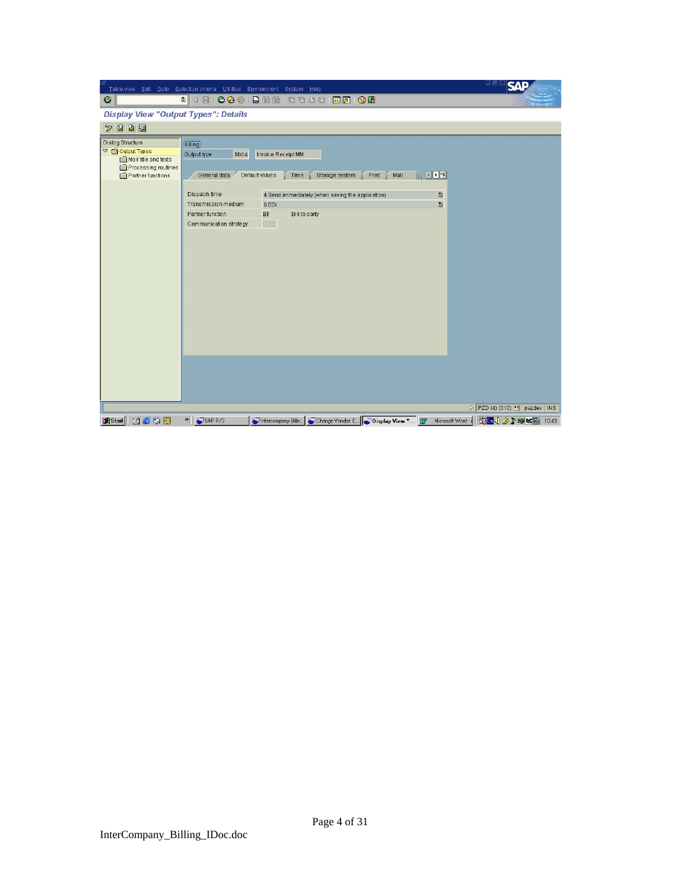| Table view Edit Goto Selection criteria Utilities Environment System Help                                       |                                                                                                                                      |                                                                                   |                                                                                     |               |                                              | 口回区<br>97                    |
|-----------------------------------------------------------------------------------------------------------------|--------------------------------------------------------------------------------------------------------------------------------------|-----------------------------------------------------------------------------------|-------------------------------------------------------------------------------------|---------------|----------------------------------------------|------------------------------|
| Ø                                                                                                               | $\blacksquare$<br>4 H                                                                                                                | <b>0001BHH100001F7010B</b>                                                        |                                                                                     |               |                                              |                              |
| <b>Display View "Output Types": Details</b>                                                                     |                                                                                                                                      |                                                                                   |                                                                                     |               |                                              |                              |
| 2401                                                                                                            |                                                                                                                                      |                                                                                   |                                                                                     |               |                                              |                              |
| Dialog Structure<br>▽ <b>G</b> Output Types<br>Mail title and texts<br>Processing routines<br>Partner functions | Billing<br>Output type<br>RD04<br>General data<br>Dispatch time<br>Transmission medium<br>Partner function<br>Communication strategy | Invoice Receipt MM<br>Default values<br>Time<br>6 EDI<br>$\mathbf{B}\,\mathbf{P}$ | Storage system<br>4 Send immediately (when saving the application)<br>Bill-to party | Mail<br>Print | h. O F T<br>$\blacksquare$<br>$\blacksquare$ |                              |
|                                                                                                                 |                                                                                                                                      |                                                                                   |                                                                                     |               |                                              | D PZD (4) (010) ■ pazdev INS |
| <b>B</b> Start<br>0690                                                                                          | $S1$ SAP R/3<br>$\frac{1}{2}$                                                                                                        |                                                                                   | Thercompany Billin G Change Vendor: C Display View " W  Microsoft Word -            |               |                                              | HoEn< ◇ ト型ME<br>10:43        |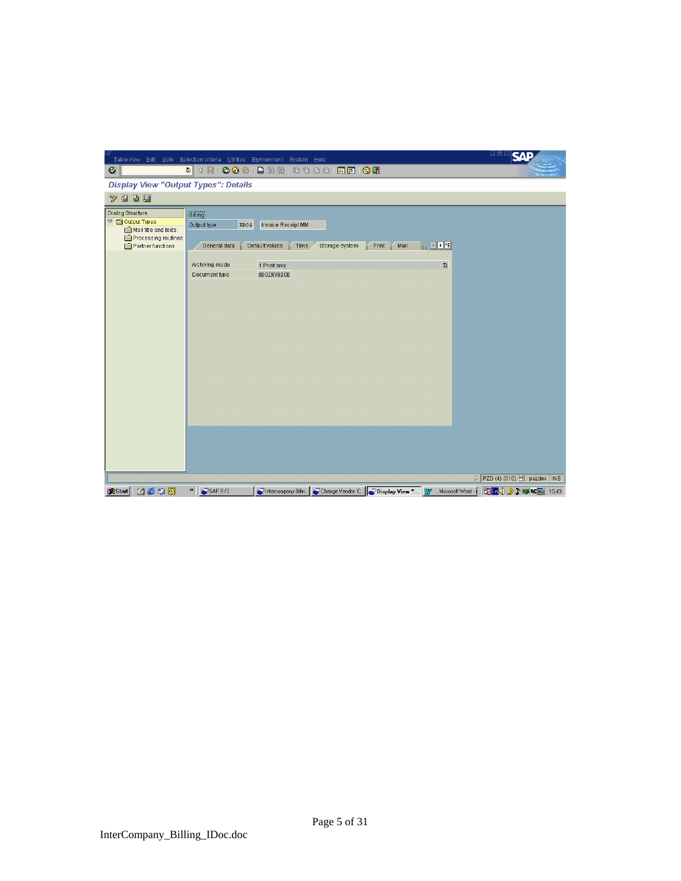|                                                                                                      | Table view Edit Goto Selection criteria Utilities Environment System Help                                                                                                                                                                 | <u>døx</u><br>S.                       |
|------------------------------------------------------------------------------------------------------|-------------------------------------------------------------------------------------------------------------------------------------------------------------------------------------------------------------------------------------------|----------------------------------------|
| Ø                                                                                                    | <b>COCIDHMITORISO</b><br>画<br>4 H                                                                                                                                                                                                         |                                        |
| <b>Display View "Output Types": Details</b>                                                          |                                                                                                                                                                                                                                           |                                        |
| 241                                                                                                  |                                                                                                                                                                                                                                           |                                        |
| Dialog Structure<br>Output Types<br>Mail title and texts<br>Processing routines<br>Partner functions | <b>Billing</b><br>Output type<br>RD04<br>Invoice Receipt MM<br><b>BDB</b><br>Mail<br>General data<br>Default values<br>Time<br>Storage system<br>Print<br>Archiving mode<br>$\blacksquare$<br>1 Print only<br>Document type<br>SDOINVOICE |                                        |
|                                                                                                      |                                                                                                                                                                                                                                           | PZD (4) (010) <b>B</b> pazdev INS      |
| anstant 26 0                                                                                         | $\mathbf{v}$<br>$S3$ SAP R/3<br>Thercompany Billin G Change Vendor: C C Display View " Ky  Microsoft Word - i                                                                                                                             | <mark> BEn 4 ☆ ト型 NC 五</mark><br>10:43 |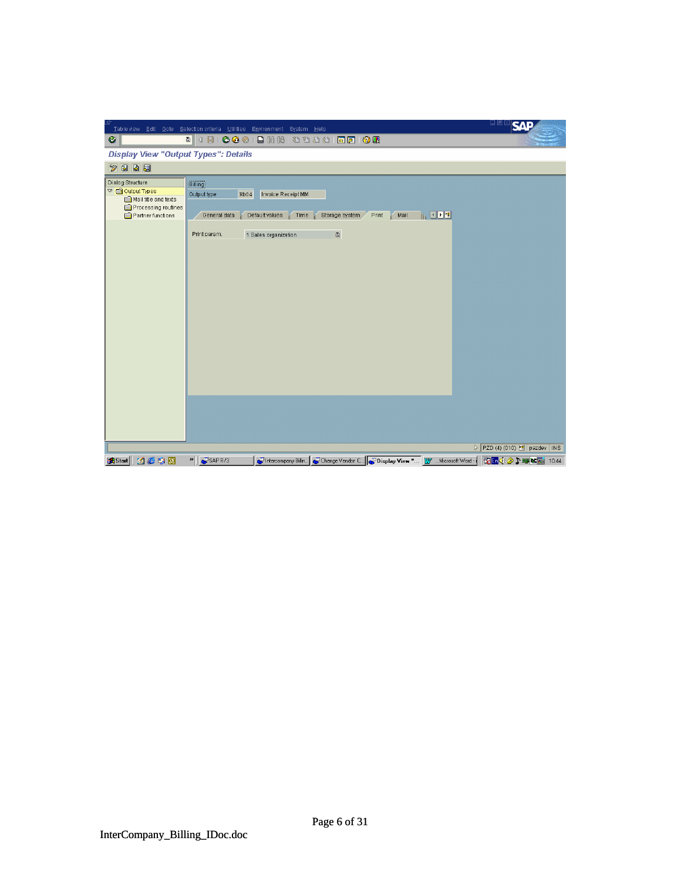|                                                                                                      | Table view Edit Goto Selection criteria Utilities Environment System Help                                                                                                                                 | 日回区<br><b>SAP</b>                 |
|------------------------------------------------------------------------------------------------------|-----------------------------------------------------------------------------------------------------------------------------------------------------------------------------------------------------------|-----------------------------------|
| Ø                                                                                                    |                                                                                                                                                                                                           |                                   |
| <b>Display View "Output Types": Details</b>                                                          |                                                                                                                                                                                                           |                                   |
| 240                                                                                                  |                                                                                                                                                                                                           |                                   |
| Dialog Structure<br>Output Types<br>Mail title and texts<br>Processing routines<br>Partner functions | <b>Billing</b><br>Invoice Receipt MM<br>Output type<br>RD04<br>h OPT<br>Time<br>Print<br>Mail<br>General data<br>Default values<br>Storage system<br>$\mathbb{E}$<br>Print param.<br>1 Sales organization |                                   |
|                                                                                                      |                                                                                                                                                                                                           | PZD (4) (010) <b>E</b> pazdev INS |
|                                                                                                      | $\boldsymbol{\Sigma}$<br>SAP R/3<br>Thercompany Billin G Change Vendor: C G Display View " W  Microsoft Word - i                                                                                          | BEn < ◇ 下野配置<br>10:44             |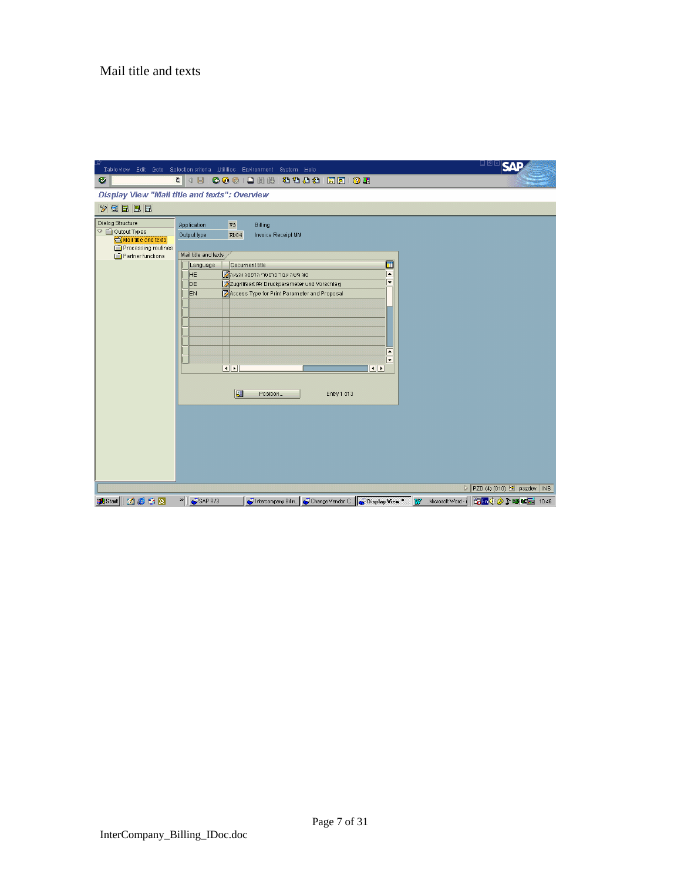# Mail title and texts

| Table view Edit Goto Selection criteria Utilities Environment System Help                                                                                                                                                                                                                                                                                                                                                                                                                                                                                                              | <b>de</b> k<br>SΔ                 |
|----------------------------------------------------------------------------------------------------------------------------------------------------------------------------------------------------------------------------------------------------------------------------------------------------------------------------------------------------------------------------------------------------------------------------------------------------------------------------------------------------------------------------------------------------------------------------------------|-----------------------------------|
| Ø                                                                                                                                                                                                                                                                                                                                                                                                                                                                                                                                                                                      |                                   |
| <b>Display View "Mail title and texts": Overview</b>                                                                                                                                                                                                                                                                                                                                                                                                                                                                                                                                   |                                   |
| 29E                                                                                                                                                                                                                                                                                                                                                                                                                                                                                                                                                                                    |                                   |
| Dialog Structure<br>Application<br>V3<br><b>Billing</b><br>▽ Output Types<br>Output type<br>RD04<br>Invoice Receipt MM<br>Mail title and texts<br>Processing routines<br>Mail title and texts<br>Partner functions<br>∩<br>団<br>Document title<br>Language<br>$\overline{\phantom{a}}$<br>HE<br>סוג גישה עבור פרמטרי הדפסה והצעה<br>$\overline{\phantom{0}}$<br>Zugriffsart f#r Druckparameter und Vorschlag<br>DE<br>Access Type for Print Parameter and Proposal<br><b>EN</b><br>$\overline{\phantom{a}}$<br>$\blacksquare$<br>$\overline{\bullet}$<br>囯<br>Position<br>Entry 1 of 3 | PZD (4) (010) <b>E</b> pazdev INS |
| $ST$ SAP R/3<br>Sintercompany Billin SChange Vendor: C SCDisplay View " Will also and word - 1 23 En 4 2 199 ME<br>$\boldsymbol{\mathcal{V}}$                                                                                                                                                                                                                                                                                                                                                                                                                                          |                                   |
| <b>出Start 12 @ 第回</b>                                                                                                                                                                                                                                                                                                                                                                                                                                                                                                                                                                  | 10:46                             |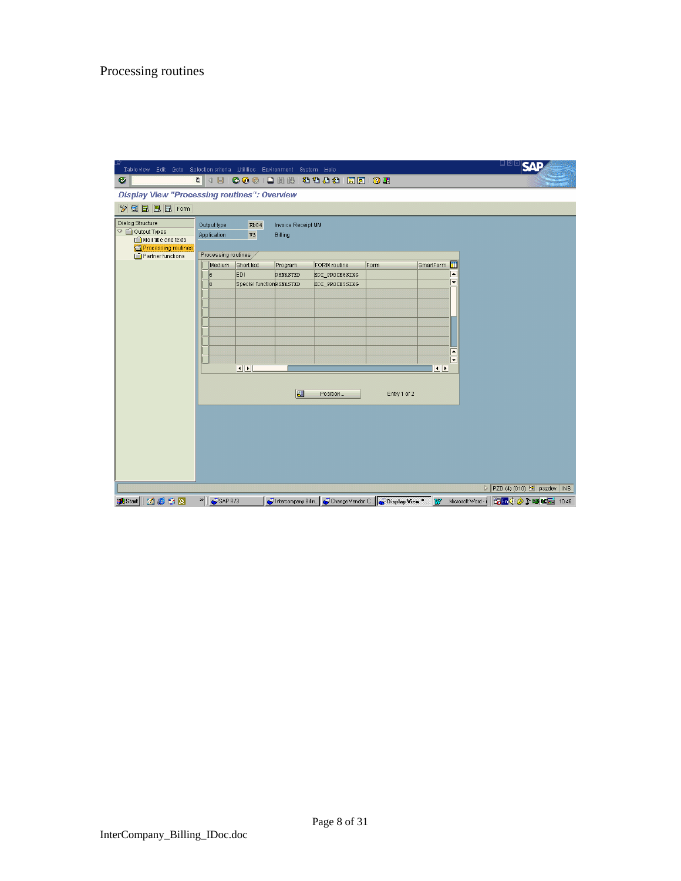# Processing routines

| Table view Edit Goto Selection criteria Utilities Environment System Help                                                   |                                                   |                          |                                      |                                 |              |                                            | 国園区<br>94                         |
|-----------------------------------------------------------------------------------------------------------------------------|---------------------------------------------------|--------------------------|--------------------------------------|---------------------------------|--------------|--------------------------------------------|-----------------------------------|
| Ø                                                                                                                           | 4 <b>H</b><br>$\blacksquare$                      |                          |                                      | <b>COCIDHEIODOODIEDIOG</b>      |              |                                            |                                   |
| <b>Display View "Processing routines": Overview</b>                                                                         |                                                   |                          |                                      |                                 |              |                                            |                                   |
| $\mathscr{D}$ Q B B B Form                                                                                                  |                                                   |                          |                                      |                                 |              |                                            |                                   |
| Dialog Structure<br>$\triangledown$ $\Box$ Output Types<br>Mail title and texts<br>Processing routines<br>Partner functions | Output type<br>Application<br>Processing routines | <b>RD04</b><br>V3        | Invoice Receipt MM<br><b>Billing</b> |                                 |              |                                            |                                   |
|                                                                                                                             | Medium                                            | Short text               | Program                              | <b>FORM</b> routine             | Form         | SmartForm                                  |                                   |
|                                                                                                                             | 16                                                | EDI                      | <b>RSNASTED</b>                      | EDI PROCESSING                  |              | $\overline{\phantom{a}}$                   |                                   |
|                                                                                                                             | l8                                                | Special functionRSNASTED |                                      | EDI_PROCESSING                  |              | $\overline{\phantom{a}}$                   |                                   |
|                                                                                                                             |                                                   |                          |                                      |                                 |              |                                            |                                   |
|                                                                                                                             |                                                   |                          |                                      |                                 |              |                                            |                                   |
|                                                                                                                             |                                                   |                          |                                      |                                 |              |                                            |                                   |
|                                                                                                                             |                                                   |                          |                                      |                                 |              |                                            |                                   |
|                                                                                                                             |                                                   |                          |                                      |                                 |              |                                            |                                   |
|                                                                                                                             |                                                   |                          |                                      |                                 |              | l۴                                         |                                   |
|                                                                                                                             |                                                   | $\blacksquare$           |                                      |                                 |              | $\overline{\phantom{a}}$<br>$\blacksquare$ |                                   |
|                                                                                                                             |                                                   |                          |                                      |                                 |              |                                            |                                   |
|                                                                                                                             |                                                   |                          | 四                                    | Position                        | Entry 1 of 2 |                                            |                                   |
|                                                                                                                             |                                                   |                          |                                      |                                 |              |                                            |                                   |
|                                                                                                                             |                                                   |                          |                                      |                                 |              |                                            |                                   |
|                                                                                                                             |                                                   |                          |                                      |                                 |              |                                            |                                   |
|                                                                                                                             |                                                   |                          |                                      |                                 |              |                                            |                                   |
|                                                                                                                             |                                                   |                          |                                      |                                 |              |                                            |                                   |
|                                                                                                                             |                                                   |                          |                                      |                                 |              |                                            |                                   |
|                                                                                                                             |                                                   |                          |                                      |                                 |              |                                            | PZD (4) (010) <b>E</b> pazdev INS |
| <b>Bistant d d</b> the <b>o</b>                                                                                             | $\boldsymbol{\mathcal{V}}$<br>$ST$ SAP R/3        |                          |                                      | Change Vendor: C Display View " |              |                                            |                                   |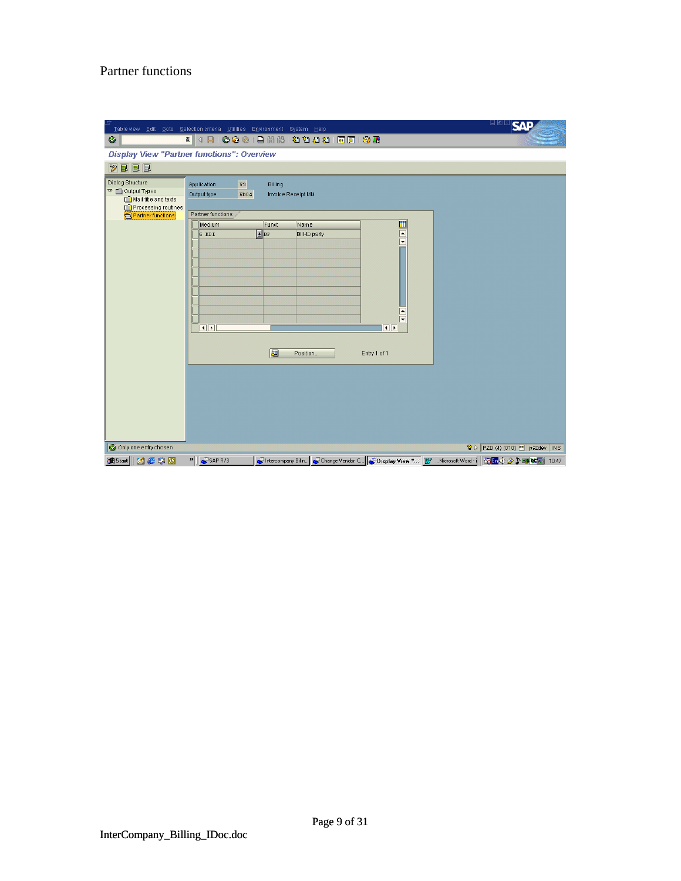# Partner functions

| Ø<br><b>Display View "Partner functions": Overview</b><br>$Z$ B B $E$<br>Dialog Structure<br>V3<br>Application<br>Billing<br>Output Types<br>Output type<br>Invoice Receipt MM<br>RD04<br>Mail title and texts<br>Processing routines<br>Partner functions<br>Partner functions<br>A<br>m<br>Name<br>Funct<br>Medium<br>$\overline{\phantom{a}}$<br>$\mathbf{E}$ $\mathbf{B}$<br>6 EDI<br>Bill-to party<br>$\overline{\phantom{a}}$<br>$\overline{\phantom{0}}$<br>$\overline{\mathbf{H}}$<br>$\overline{\bullet}$<br>圓<br>Position<br>Entry 1 of 1 | Table view Edit Goto Selection criteria Utilities Environment System Help |  | $\Box$ @ $\times$<br><b>SAF</b> |
|-----------------------------------------------------------------------------------------------------------------------------------------------------------------------------------------------------------------------------------------------------------------------------------------------------------------------------------------------------------------------------------------------------------------------------------------------------------------------------------------------------------------------------------------------------|---------------------------------------------------------------------------|--|---------------------------------|
|                                                                                                                                                                                                                                                                                                                                                                                                                                                                                                                                                     |                                                                           |  |                                 |
|                                                                                                                                                                                                                                                                                                                                                                                                                                                                                                                                                     |                                                                           |  |                                 |
|                                                                                                                                                                                                                                                                                                                                                                                                                                                                                                                                                     |                                                                           |  |                                 |
|                                                                                                                                                                                                                                                                                                                                                                                                                                                                                                                                                     |                                                                           |  |                                 |
|                                                                                                                                                                                                                                                                                                                                                                                                                                                                                                                                                     |                                                                           |  |                                 |
| Only one entry chosen<br><b>BD</b><br>PZD (4) (010) <b>E</b> pazdev INS<br><b>Bistant d d</b> the <b>o</b><br>Ⅳ  Microsoft Word - BEn 4 2 > 19 ME 3 10:47<br>$\boldsymbol{\varkappa}$<br>$ST$ SAP R/3<br>Thercompany Billin Change Vendor: C Display View "                                                                                                                                                                                                                                                                                         |                                                                           |  |                                 |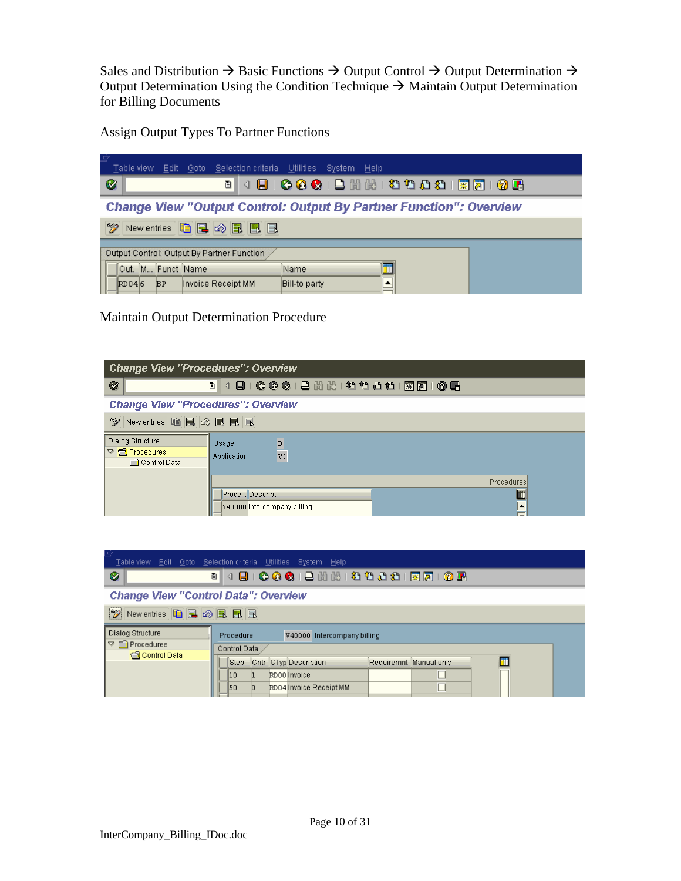Sales and Distribution  $\rightarrow$  Basic Functions  $\rightarrow$  Output Control  $\rightarrow$  Output Determination  $\rightarrow$ Output Determination Using the Condition Technique  $\rightarrow$  Maintain Output Determination for Billing Documents

Assign Output Types To Partner Functions

| Ė<br>Table view Edit Goto Selection criteria Utilities System Help |                                                                           |  |  |  |
|--------------------------------------------------------------------|---------------------------------------------------------------------------|--|--|--|
| Ø<br>ēI                                                            |                                                                           |  |  |  |
|                                                                    | <b>Change View "Output Control: Output By Partner Function": Overview</b> |  |  |  |
| $\mathscr{D}$<br>New entries DBB 2 图 图 图                           |                                                                           |  |  |  |
| Output Control: Output By Partner Function                         |                                                                           |  |  |  |
| Out. M Funct Name                                                  | ٦Ï<br>Name                                                                |  |  |  |
| Invoice Receipt MM<br>RD046<br>BP.                                 | ▴<br>Bill-to party                                                        |  |  |  |

Maintain Output Determination Procedure

| Change View "Procedures": Overview             |                                                       |
|------------------------------------------------|-------------------------------------------------------|
| Ø                                              | ēH                                                    |
| <b>Change View "Procedures": Overview</b>      |                                                       |
| New entries DBB BBB<br>$-600$                  |                                                       |
| Dialog Structure<br>Procedures<br>Control Data | B<br>Usage<br>V3<br>Application                       |
|                                                | Procedures                                            |
|                                                | lii<br>Proce Descript.<br>V40000 Intercompany billing |

|                                                | Table view Edit Goto Selection criteria Utilities System Help       |  |
|------------------------------------------------|---------------------------------------------------------------------|--|
| Ø                                              | 4 日   0 0 0 1 2 1 1 1 1 2 1 2 1 2 1 3 2 1 3 2 1 3 4<br>ū            |  |
|                                                | <b>Change View "Control Data": Overview</b>                         |  |
| $\overline{\mathscr{D}}$<br>New entries GBQ配图图 |                                                                     |  |
| Dialog Structure                               | V40000 Intercompany billing<br>Procedure                            |  |
| $\triangledown$ $\Box$ Procedures              | Control Data                                                        |  |
|                                                |                                                                     |  |
| Control Data                                   | Œ<br>Cntr CTyp Description<br>Requiremnt Manual only<br><b>Step</b> |  |
|                                                | RD00 Invoice<br>п<br>10                                             |  |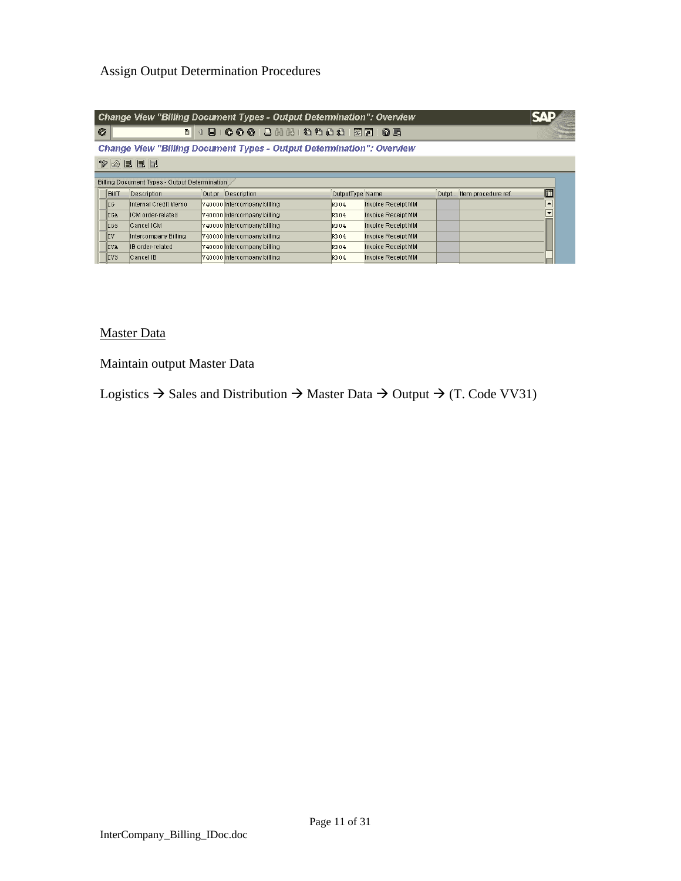# Assign Output Determination Procedures

|   |                                                                              |                                               |        | Change View "Billing Document Types - Output Determination": Overview |                 |                    |  |                           |                          |  |
|---|------------------------------------------------------------------------------|-----------------------------------------------|--------|-----------------------------------------------------------------------|-----------------|--------------------|--|---------------------------|--------------------------|--|
| Ø | 画                                                                            |                                               |        |                                                                       |                 |                    |  |                           |                          |  |
|   | <b>Change View "Billing Document Types - Output Determination": Overview</b> |                                               |        |                                                                       |                 |                    |  |                           |                          |  |
|   | $\mathscr{D}$<br>圓                                                           | IR R                                          |        |                                                                       |                 |                    |  |                           |                          |  |
|   |                                                                              | Billing Document Types - Output Determination |        |                                                                       |                 |                    |  |                           |                          |  |
|   | <b>BIIT</b>                                                                  | <b>Description</b>                            | Out.pr | Description                                                           | OutputType Name |                    |  | Outpt Item procedure ref. | m                        |  |
|   | IIG.                                                                         | Internal Credit Memo                          |        | V40000 Intercompany billing                                           | FD04            | Invoice Receipt MM |  |                           | $\overline{\phantom{a}}$ |  |
|   | <b>IIGA</b>                                                                  | ICM order-related                             |        | V40000 Intercompany billing                                           | RD04            | Invoice Receipt MM |  |                           | ∣₹                       |  |
|   | <b>IIGS</b>                                                                  | Cancel ICM                                    |        | V40000 Intercompany billing                                           | RD04            | Invoice Receipt MM |  |                           |                          |  |
|   | IV                                                                           | Intercompany Billing                          |        | V40000 Intercompany billing                                           | FD04            | Invoice Receipt MM |  |                           |                          |  |
|   | <b>IVA</b>                                                                   | IB order-related                              |        | V40000 Intercompany billing                                           | RD04            | Invoice Receipt MM |  |                           |                          |  |
|   | <b>IVS</b>                                                                   | Cancel IB                                     |        | V40000 Intercompany billing                                           | RD04            | Invoice Receipt MM |  |                           |                          |  |

# Master Data

Maintain output Master Data

Logistics  $\rightarrow$  Sales and Distribution  $\rightarrow$  Master Data  $\rightarrow$  Output  $\rightarrow$  (T. Code VV31)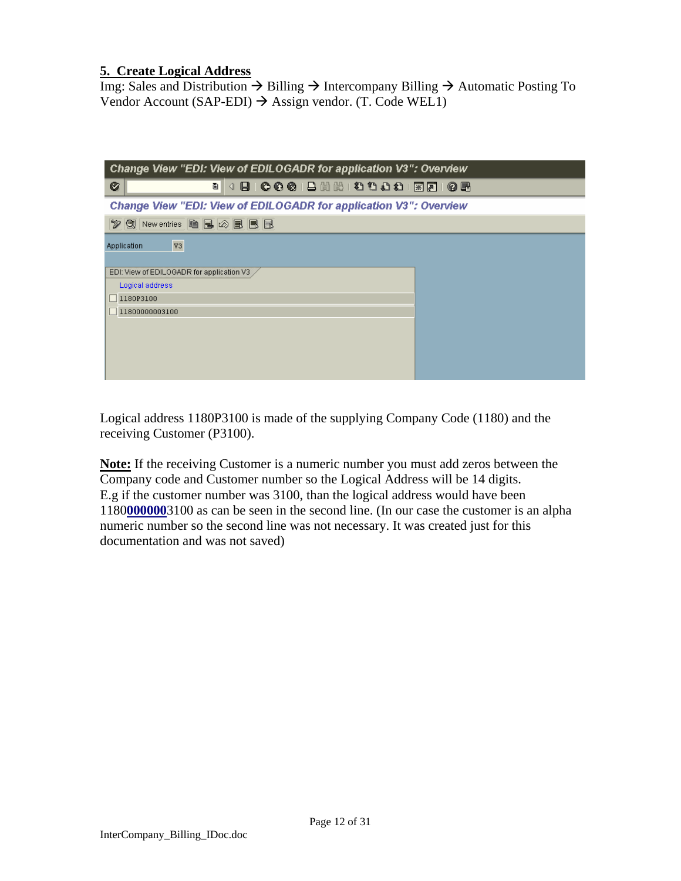### **5. Create Logical Address**

 $\overline{\text{Img: Sales and Distribution}} \rightarrow \text{Billing} \rightarrow \text{Intercompany Billing} \rightarrow \text{Automatic Position}$ Vendor Account (SAP-EDI)  $\rightarrow$  Assign vendor. (T. Code WEL1)

| Change View "EDI: View of EDILOGADR for application V3": Overview                                                                                                                                                                          |  |  |  |  |  |
|--------------------------------------------------------------------------------------------------------------------------------------------------------------------------------------------------------------------------------------------|--|--|--|--|--|
| $-9$ . Q & $12$ $-10$ $-10$ $-10$ $-10$ $-10$ $-10$ $-10$ $-10$ $-10$ $-10$ $-10$ $-10$ $-10$ $-10$ $-10$ $-10$ $-10$ $-10$ $-10$ $-10$ $-10$ $-10$ $-10$ $-10$ $-10$ $-10$ $-10$ $-10$ $-10$ $-10$ $-10$ $-10$ $-10$ $-10$<br>Ø<br>圁<br>◁ |  |  |  |  |  |
| Change View "EDI: View of EDILOGADR for application V3": Overview                                                                                                                                                                          |  |  |  |  |  |
| 多图 New entries 自日の日日日                                                                                                                                                                                                                      |  |  |  |  |  |
| $_{\rm V3}$<br>Application                                                                                                                                                                                                                 |  |  |  |  |  |
|                                                                                                                                                                                                                                            |  |  |  |  |  |
| EDI: View of EDILOGADR for application V3<br>Logical address                                                                                                                                                                               |  |  |  |  |  |
| 1180P3100<br>$\Box$                                                                                                                                                                                                                        |  |  |  |  |  |
| 11800000003100<br>$\Box$                                                                                                                                                                                                                   |  |  |  |  |  |
|                                                                                                                                                                                                                                            |  |  |  |  |  |
|                                                                                                                                                                                                                                            |  |  |  |  |  |
|                                                                                                                                                                                                                                            |  |  |  |  |  |
|                                                                                                                                                                                                                                            |  |  |  |  |  |

Logical address 1180P3100 is made of the supplying Company Code (1180) and the receiving Customer (P3100).

**Note:** If the receiving Customer is a numeric number you must add zeros between the Company code and Customer number so the Logical Address will be 14 digits. E.g if the customer number was 3100, than the logical address would have been 1180**000000**3100 as can be seen in the second line. (In our case the customer is an alpha numeric number so the second line was not necessary. It was created just for this documentation and was not saved)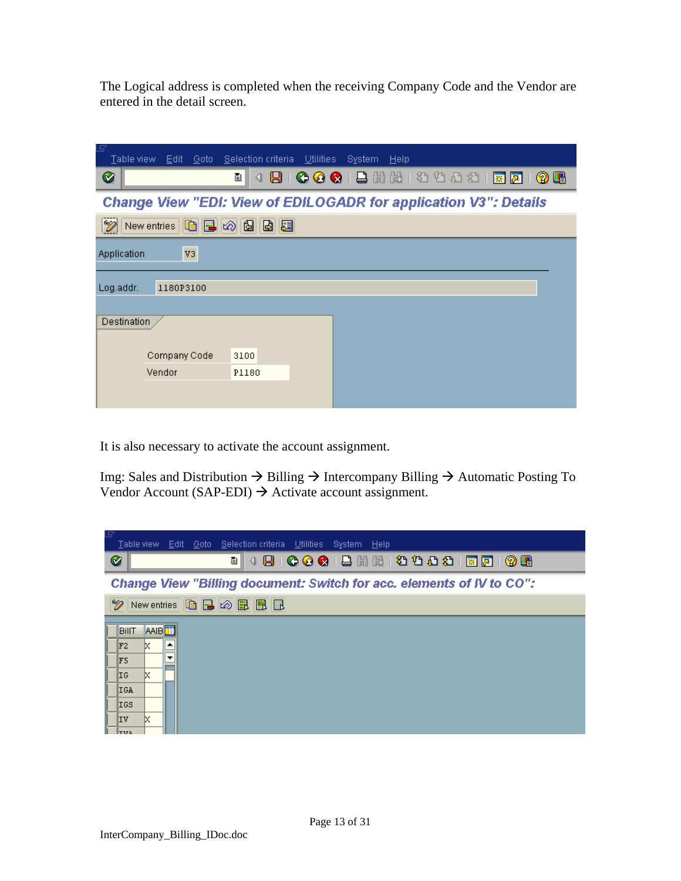The Logical address is completed when the receiving Company Code and the Vendor are entered in the detail screen.

| 므<br>Table view | Edit Goto           | Selection criteria Utilities System Help |  |                                                                  |
|-----------------|---------------------|------------------------------------------|--|------------------------------------------------------------------|
| Ø               |                     | Ò<br>◁                                   |  | 8100018820002177<br>(?) Lei                                      |
|                 |                     |                                          |  | Change View "EDI: View of EDILOGADR for application V3": Details |
| $\mathscr{D}$   | New entries   白日の日日 |                                          |  |                                                                  |
| Application     | V3                  |                                          |  |                                                                  |
|                 |                     |                                          |  |                                                                  |
| Log.addr.       | 1180P3100           |                                          |  |                                                                  |
|                 |                     |                                          |  |                                                                  |
| Destination     |                     |                                          |  |                                                                  |
|                 |                     |                                          |  |                                                                  |
|                 | Company Code        | 3100                                     |  |                                                                  |
|                 | Vendor              | <b>P1180</b>                             |  |                                                                  |
|                 |                     |                                          |  |                                                                  |
|                 |                     |                                          |  |                                                                  |

It is also necessary to activate the account assignment.

Img: Sales and Distribution  $\rightarrow$  Billing  $\rightarrow$  Intercompany Billing  $\rightarrow$  Automatic Posting To Vendor Account (SAP-EDI)  $\rightarrow$  Activate account assignment.

| 모<br>Edit Goto Selection-criteria Utilities System Help<br>Table view                                                   |
|-------------------------------------------------------------------------------------------------------------------------|
| Ø<br>ū<br>(2) UH<br>◁                                                                                                   |
| Change View "Billing document: Switch for acc. elements of IV to CO":                                                   |
| $^6\!\mathscr{D}$<br>New entries   自日  2 国  国  国  国                                                                     |
| AAIB <b>T</b><br><b>BillT</b><br>IX.<br>lF2.<br>▼<br>F5<br>I<br>ΙG<br>IX.<br>∥IGA<br> IGS<br>lIV.<br>Ix.<br><b>TITA</b> |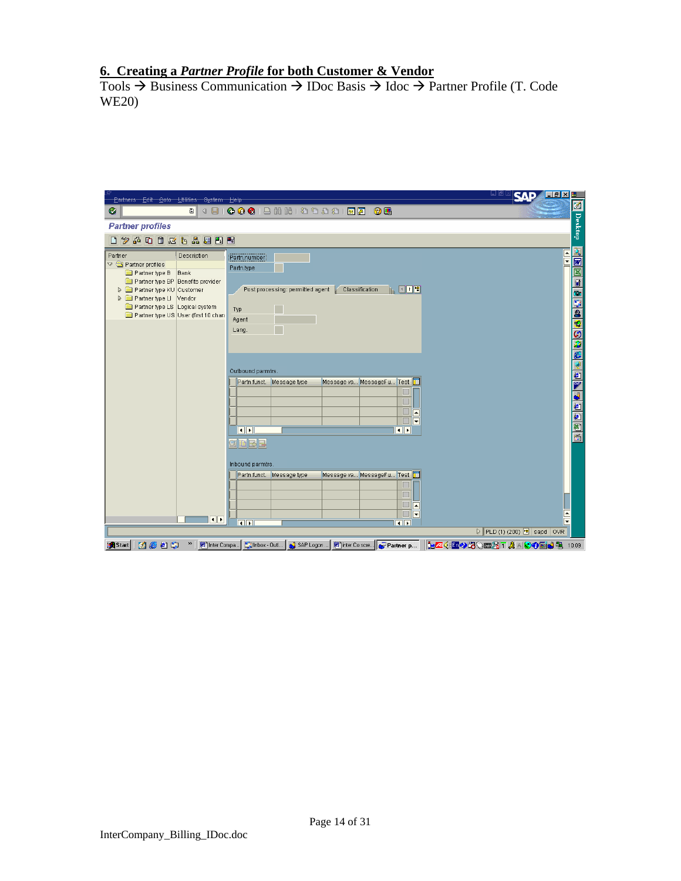#### **6. Creating a** *Partner Profile* **for both Customer & Vendor**

Tools  $\rightarrow$  Business Communication  $\rightarrow$  IDoc Basis  $\rightarrow$  Idoc  $\rightarrow$  Partner Profile (T. Code WE20)

| Partners Edit Goto Utilities<br><b>System</b>                                                                                                                                                                                                                                                      | <u>Help</u>                                                                                                                                                                                                                                                                                                                                                                                                           | 口回<br>. 10   x                                                    |
|----------------------------------------------------------------------------------------------------------------------------------------------------------------------------------------------------------------------------------------------------------------------------------------------------|-----------------------------------------------------------------------------------------------------------------------------------------------------------------------------------------------------------------------------------------------------------------------------------------------------------------------------------------------------------------------------------------------------------------------|-------------------------------------------------------------------|
| $\bullet$<br>4 H<br>画                                                                                                                                                                                                                                                                              | <b>0001868000187006</b>                                                                                                                                                                                                                                                                                                                                                                                               | <b>S</b><br>Desktop                                               |
| <b>Partner profiles</b>                                                                                                                                                                                                                                                                            |                                                                                                                                                                                                                                                                                                                                                                                                                       |                                                                   |
| 260036880                                                                                                                                                                                                                                                                                          | $\blacksquare$                                                                                                                                                                                                                                                                                                                                                                                                        |                                                                   |
| Description<br>Partner<br>$\nabla \subseteq$ Partner profiles<br>Partner type B<br><b>Bank</b><br>Partner type BP Benefits provider<br><b>D artner</b> type KU Customer<br>Partner type LI<br>Vendor<br>$\triangleright$<br>Partner type LS Logical system<br>Partner type US User (first 10 chara | Partn.number<br>Partn.type<br><b>FILE</b><br>Post processing: permitted agent<br>Classification<br>Typ<br>Agent<br>Lang.<br>Outbound parmtrs.<br>Message va MessageFu Test<br>Partn.funct. Message type<br>Г<br>П<br>П<br>$\blacktriangle$<br>$\overline{\phantom{a}}$<br>$\overline{\blacksquare}$<br>$\overline{\bullet}$<br>暗国国<br>Inbound parmtrs.<br>Message va MessageFu Test<br>Partn.funct. Message type<br>П | $\blacktriangle$                                                  |
| $\overline{\blacksquare}$                                                                                                                                                                                                                                                                          | П<br>◚<br>□<br>$\blacktriangledown$                                                                                                                                                                                                                                                                                                                                                                                   |                                                                   |
|                                                                                                                                                                                                                                                                                                    | $\overline{\blacksquare}$<br>$\overline{\mathbf{H}}$                                                                                                                                                                                                                                                                                                                                                                  | $\overline{\phantom{0}}$<br>D PLD (1) (200) <sup>P</sup> sapd OVR |
| 0000<br>$\boldsymbol{\mathcal{P}}$<br><b>B</b> Start                                                                                                                                                                                                                                               | Inbox - Outl<br>SAP Logon <b>38</b> inter Co scre <b>Partner p</b>                                                                                                                                                                                                                                                                                                                                                    | 1244502300278A00545                                               |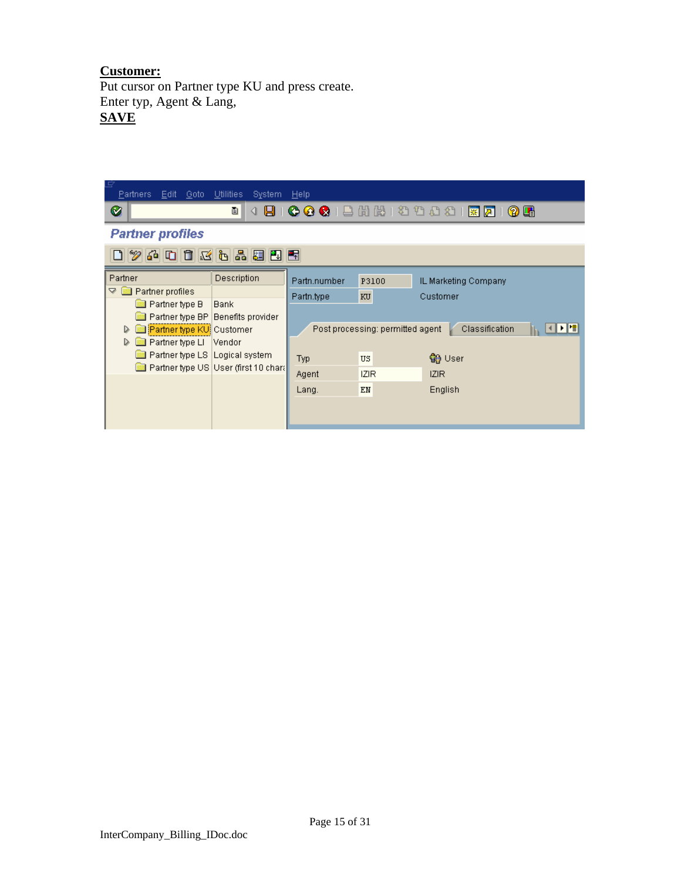### **Customer:**

Put cursor on Partner type KU and press create. Enter typ, Agent & Lang, **SAVE**

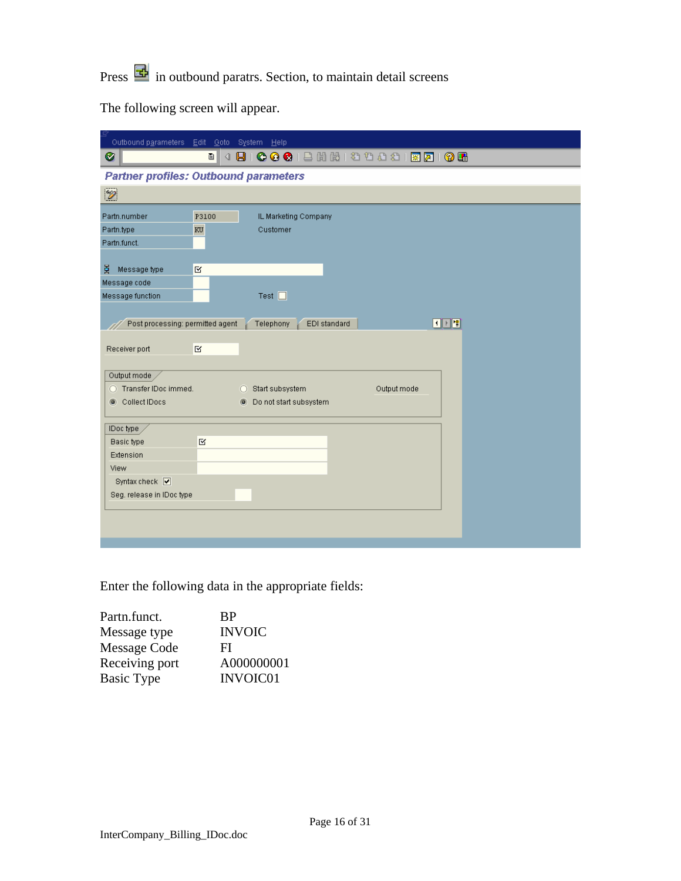The following screen will appear.

| Outbound parameters Edit Goto System Help    |                         |         |                                                |
|----------------------------------------------|-------------------------|---------|------------------------------------------------|
| Ø                                            | 画                       |         | 4 8 6 6 6 8 8 8 8 9 1 2 1 2 1 2 8 8 8 9 8      |
| <b>Partner profiles: Outbound parameters</b> |                         |         |                                                |
| $\mathscr{D}$                                |                         |         |                                                |
| Partn.number                                 | P3100                   |         | IL Marketing Company                           |
| Partn.type                                   | KU                      |         | Customer                                       |
| Partn.funct.                                 |                         |         |                                                |
| 봏<br>Message type                            | $\overline{\mathbb{E}}$ |         |                                                |
| Message code                                 |                         |         |                                                |
| Message function                             |                         |         | Test $\Box$                                    |
|                                              |                         |         |                                                |
| Post processing: permitted agent             |                         |         | <b>THE</b><br>EDI standard<br><b>Telephony</b> |
|                                              |                         |         |                                                |
| Receiver port                                | $\overline{\mathbb{R}}$ |         |                                                |
| Output mode                                  |                         |         |                                                |
| ◯ Transfer IDoc immed.                       |                         |         | ◯ Start subsystem<br>Output mode               |
| Collect IDocs                                |                         | $\circ$ | Do not start subsystem                         |
|                                              |                         |         |                                                |
| IDoc type                                    |                         |         |                                                |
| Basic type                                   | $\overline{\mathbb{R}}$ |         |                                                |
| Extension                                    |                         |         |                                                |
| View                                         |                         |         |                                                |
| Syntax check V                               |                         |         |                                                |
| Seg. release in IDoc type                    |                         |         |                                                |
|                                              |                         |         |                                                |
|                                              |                         |         |                                                |
|                                              |                         |         |                                                |

Enter the following data in the appropriate fields:

| <b>BP</b>       |
|-----------------|
| <b>INVOIC</b>   |
| FI              |
| A000000001      |
| <b>INVOIC01</b> |
|                 |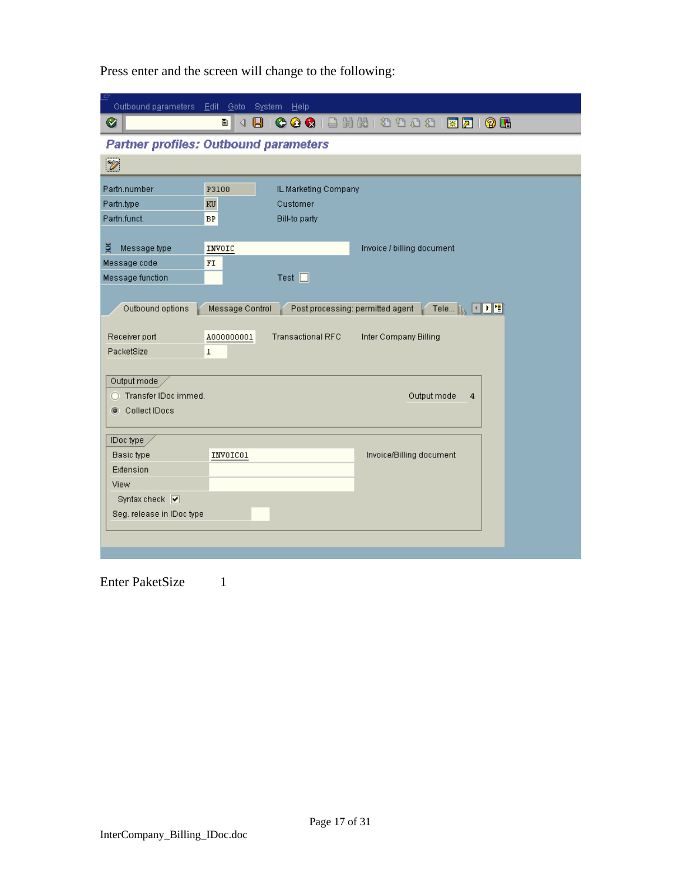| Outbound parameters Edit Goto System Help                                                |                                               |                          |                                                                                                                                                                                                                                             |  |
|------------------------------------------------------------------------------------------|-----------------------------------------------|--------------------------|---------------------------------------------------------------------------------------------------------------------------------------------------------------------------------------------------------------------------------------------|--|
| Ø                                                                                        | e I                                           | 4 B                      | <b>606</b>   8 H H H H 2 T 1 O H <b>H</b> 2 H H 2 H                                                                                                                                                                                         |  |
| <b>Partner profiles: Outbound parameters</b>                                             |                                               |                          |                                                                                                                                                                                                                                             |  |
| $\mathscr{D}$                                                                            |                                               |                          |                                                                                                                                                                                                                                             |  |
| Partn.number                                                                             | P3100                                         | IL Marketing Company     |                                                                                                                                                                                                                                             |  |
| Partn.type                                                                               | KU                                            | Customer                 |                                                                                                                                                                                                                                             |  |
| Partn.funct.                                                                             | BP                                            | <b>Bill-to party</b>     |                                                                                                                                                                                                                                             |  |
| 봋<br>Message type                                                                        | INVOIC                                        |                          | Invoice / billing document                                                                                                                                                                                                                  |  |
| Message code                                                                             | FI                                            |                          |                                                                                                                                                                                                                                             |  |
| Message function                                                                         |                                               | Test $\Box$              |                                                                                                                                                                                                                                             |  |
| Outbound options<br>Receiver port<br>PacketSize<br>Output mode<br>◯ Transfer IDoc immed. | Message Control<br>A000000001<br>$\mathbf{1}$ | <b>Transactional RFC</b> | Tele $\left[\begin{matrix} 1 \\ 1 \end{matrix}\right]$ $\left[\begin{matrix} 1 \\ 1 \end{matrix}\right]$ $\left[\begin{matrix} 2 \\ 1 \end{matrix}\right]$<br>Post processing: permitted agent<br>Inter Company Billing<br>Output mode<br>4 |  |
| Collect IDocs                                                                            |                                               |                          |                                                                                                                                                                                                                                             |  |
| IDoc type                                                                                |                                               |                          |                                                                                                                                                                                                                                             |  |
| Basic type                                                                               | INVOICO1                                      |                          | Invoice/Billing document                                                                                                                                                                                                                    |  |
| Extension                                                                                |                                               |                          |                                                                                                                                                                                                                                             |  |
| View                                                                                     |                                               |                          |                                                                                                                                                                                                                                             |  |
| Syntax check $\boxed{\blacktriangledown}$                                                |                                               |                          |                                                                                                                                                                                                                                             |  |
| Seg. release in IDoc type                                                                |                                               |                          |                                                                                                                                                                                                                                             |  |
|                                                                                          |                                               |                          |                                                                                                                                                                                                                                             |  |
|                                                                                          |                                               |                          |                                                                                                                                                                                                                                             |  |

Press enter and the screen will change to the following:

Enter PaketSize 1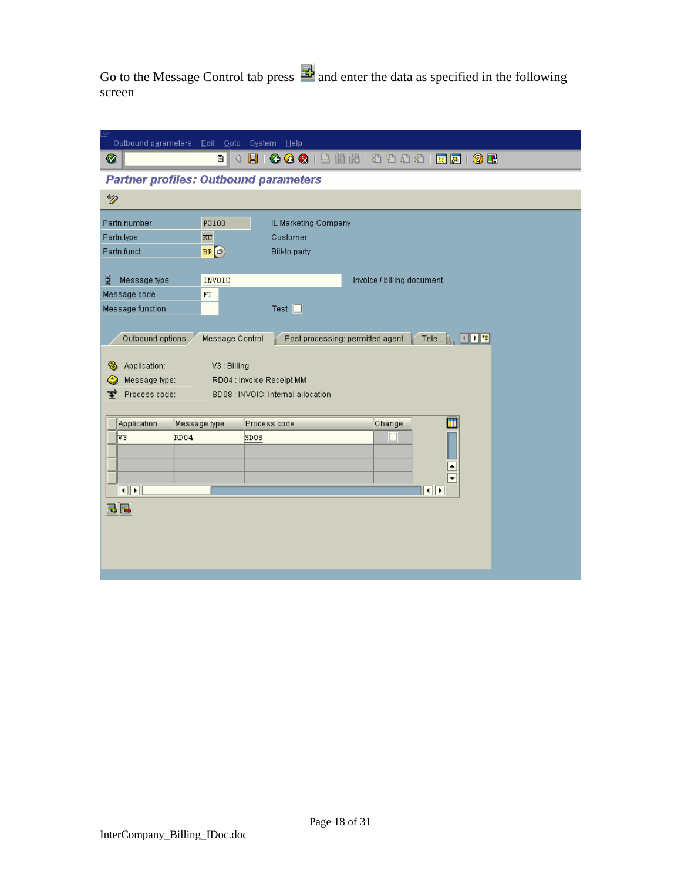Go to the Message Control tab press  $\mathbb{E}_{a}$  and enter the data as specified in the following screen

| پ                                                                                                 | Outbound parameters Edit Goto System Help                                                                                                                                       |
|---------------------------------------------------------------------------------------------------|---------------------------------------------------------------------------------------------------------------------------------------------------------------------------------|
| Ø                                                                                                 | 4 B   C Q Q   B H H H 2 D D D H <mark>R 2</mark>   Q B<br>圁                                                                                                                     |
|                                                                                                   | <b>Partner profiles: Outbound parameters</b>                                                                                                                                    |
| $\mathscr{D}$                                                                                     |                                                                                                                                                                                 |
| Partn.number<br>Partn.type<br>Partn.funct.                                                        | P3100<br>IL Marketing Company<br>Customer<br>KU<br>$BP$ $\bigcirc$<br>Bill-to party                                                                                             |
| 훜<br>Message type<br>Message code                                                                 | Invoice / billing document<br>INVOIC<br>FI                                                                                                                                      |
| Message function<br>Outbound options<br>Application:<br>œ,<br>Message type:<br>Process code:<br>τ | Test $\Box$<br><b>FFFF</b><br>Message Control<br>Post processing: permitted agent<br>Tele In<br>V3 : Billing<br>RD04 : Invoice Receipt MM<br>SD08 : INVOIC: Internal allocation |
| <b>Application</b><br>lм3<br>RD04<br>$\overline{\mathbf{1}}$ $\mathbf{1}$<br>國国                   | $\blacksquare$<br>Message type<br>Change<br>Process code<br>П<br>SD <sub>08</sub><br>$\overline{\phantom{a}}$<br>                                                               |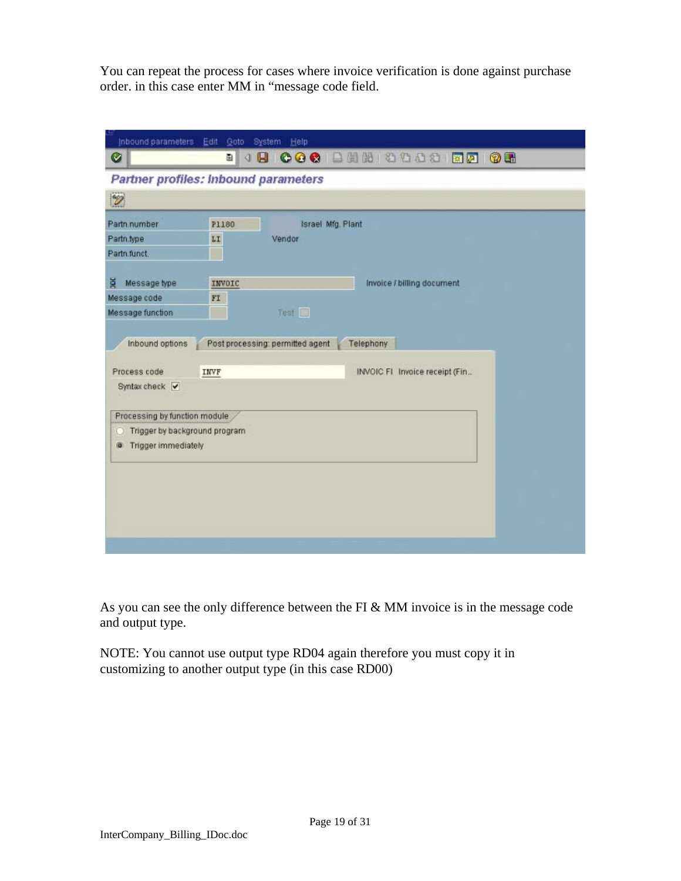You can repeat the process for cases where invoice verification is done against purchase order. in this case enter MM in "message code field.

| Partner profiles: Inbound parameters |        |                   | <b>B 4 B C C C B B B B O B B O B B C B</b> |  |
|--------------------------------------|--------|-------------------|--------------------------------------------|--|
|                                      |        |                   |                                            |  |
| $\mathscr{D}$                        |        |                   |                                            |  |
| Partn.number                         | P1180  | Israel Mfg. Plant |                                            |  |
| Partn.type                           | LI     | Vendor            |                                            |  |
| Partn.funct.                         |        |                   |                                            |  |
| ы<br>Message type                    | INVOIC |                   | Invoice / billing document                 |  |
| Message code                         | FI     |                   |                                            |  |
| Message function                     |        | Test <sup>1</sup> |                                            |  |
| Process code<br>Syntax check v       | INVF   |                   | INVOIC FI Invoice receipt (Fin             |  |
| Processing by function module        |        |                   |                                            |  |
| Trigger by background program<br>n   |        |                   |                                            |  |
| Trigger immediately<br>ø.            |        |                   |                                            |  |
|                                      |        |                   |                                            |  |
|                                      |        |                   |                                            |  |
|                                      |        |                   |                                            |  |
|                                      |        |                   |                                            |  |

As you can see the only difference between the FI & MM invoice is in the message code and output type.

NOTE: You cannot use output type RD04 again therefore you must copy it in customizing to another output type (in this case RD00)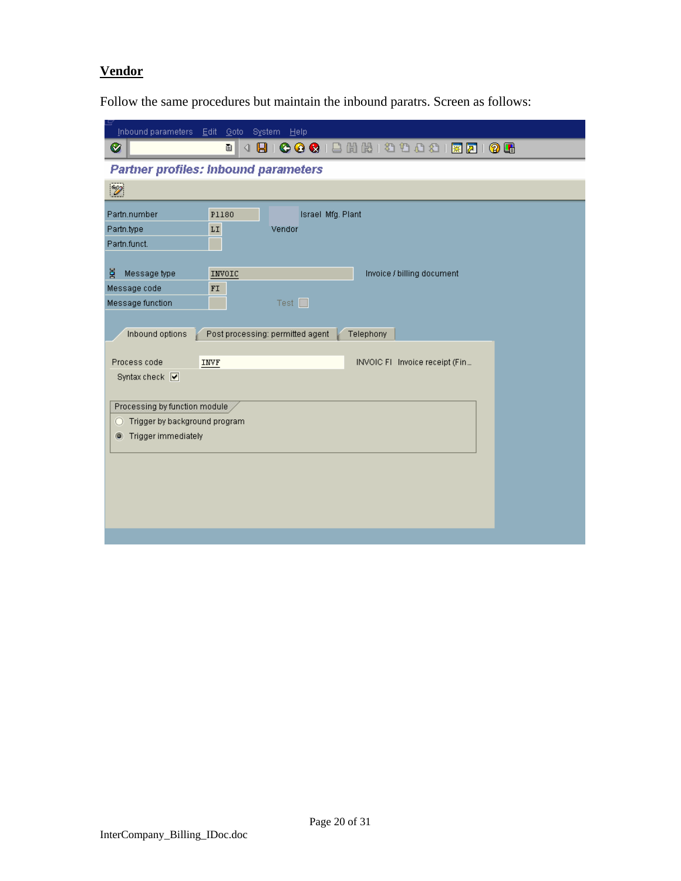# **Vendor**

Follow the same procedures but maintain the inbound paratrs. Screen as follows:

| Inbound parameters Edit Goto System Help    |                        |                                  |                                               |  |  |  |  |  |
|---------------------------------------------|------------------------|----------------------------------|-----------------------------------------------|--|--|--|--|--|
| Ø                                           | 圁                      |                                  | 4 B   C G C   B H H H + 2 D D 2   K 2 B + 3 B |  |  |  |  |  |
| <b>Partner profiles: Inbound parameters</b> |                        |                                  |                                               |  |  |  |  |  |
| $\mathscr{D}$                               |                        |                                  |                                               |  |  |  |  |  |
| Partn.number                                | <b>P1180</b>           | Israel Mfg. Plant                |                                               |  |  |  |  |  |
| Partn.type                                  | $\mathbf{L}\mathbf{I}$ | Vendor                           |                                               |  |  |  |  |  |
| Partn.funct.                                |                        |                                  |                                               |  |  |  |  |  |
| 봋<br>Message type                           | INVOIC                 |                                  | Invoice / billing document                    |  |  |  |  |  |
| Message code                                | FI                     |                                  |                                               |  |  |  |  |  |
| Message function                            |                        | Test $\Box$                      |                                               |  |  |  |  |  |
|                                             |                        |                                  |                                               |  |  |  |  |  |
| Inbound options                             |                        | Post processing: permitted agent | Telephony                                     |  |  |  |  |  |
| Process code                                | INVF                   |                                  | INVOIC FI Invoice receipt (Fin                |  |  |  |  |  |
| Syntax check $\boxed{\blacktriangledown}$   |                        |                                  |                                               |  |  |  |  |  |
|                                             |                        |                                  |                                               |  |  |  |  |  |
| Processing by function module               |                        |                                  |                                               |  |  |  |  |  |
| Trigger by background program<br>O          |                        |                                  |                                               |  |  |  |  |  |
| • Trigger immediately                       |                        |                                  |                                               |  |  |  |  |  |
|                                             |                        |                                  |                                               |  |  |  |  |  |
|                                             |                        |                                  |                                               |  |  |  |  |  |
|                                             |                        |                                  |                                               |  |  |  |  |  |
|                                             |                        |                                  |                                               |  |  |  |  |  |
|                                             |                        |                                  |                                               |  |  |  |  |  |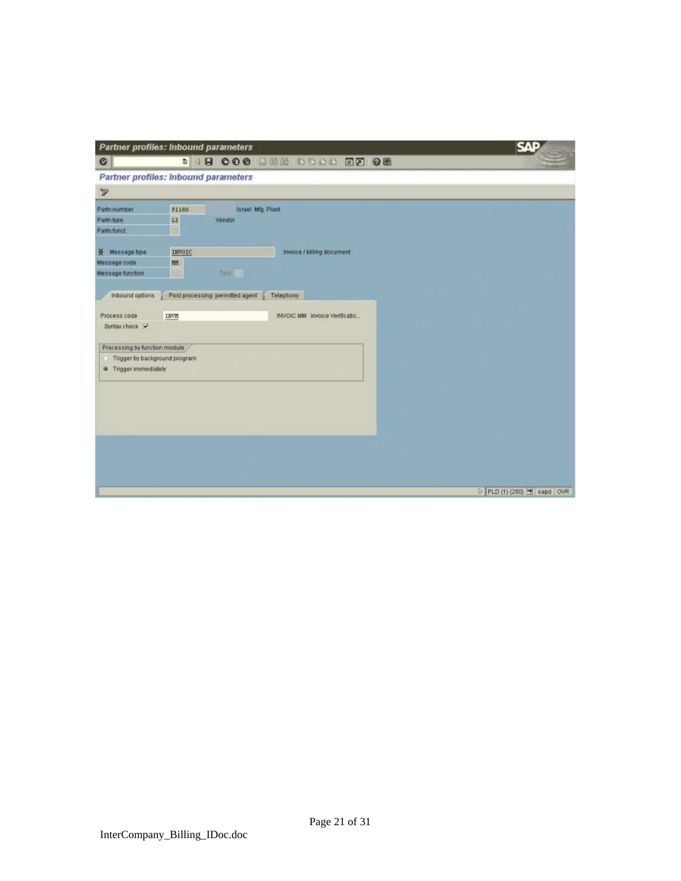| Partner profiles: Inbound parameters                      |              |                                  |                               | SΔ                         |
|-----------------------------------------------------------|--------------|----------------------------------|-------------------------------|----------------------------|
| Ø                                                         |              |                                  |                               |                            |
| Partner profiles: Inbound parameters                      |              |                                  |                               |                            |
| 岁                                                         |              |                                  |                               |                            |
| Partn.number                                              | <b>P1180</b> | Israel Mfg Plant                 |                               |                            |
| Partn.type.<br>Partn funct                                | LI           | Vendor                           |                               |                            |
| Message type                                              | INVOIC       |                                  | Invoice / billing document    |                            |
| Message code                                              | MM           |                                  |                               |                            |
| <b>Message function</b>                                   |              | Test                             |                               |                            |
| Inbound options                                           |              | Post processing: permitted agent | Telephony                     |                            |
| Process code                                              | INVM         |                                  | INVOIC MM Invoice Verificatio |                            |
| Syntax check                                              |              |                                  |                               |                            |
| Processing by function module                             |              |                                  |                               |                            |
| Trigger by background program<br>Trigger immediately<br>۰ |              |                                  |                               |                            |
|                                                           |              |                                  |                               |                            |
|                                                           |              |                                  |                               |                            |
|                                                           |              |                                  |                               |                            |
|                                                           |              |                                  |                               |                            |
|                                                           |              |                                  |                               |                            |
|                                                           |              |                                  |                               |                            |
|                                                           |              |                                  |                               |                            |
|                                                           |              |                                  |                               |                            |
|                                                           |              |                                  |                               | D PLD (1) (200) * sapd OVR |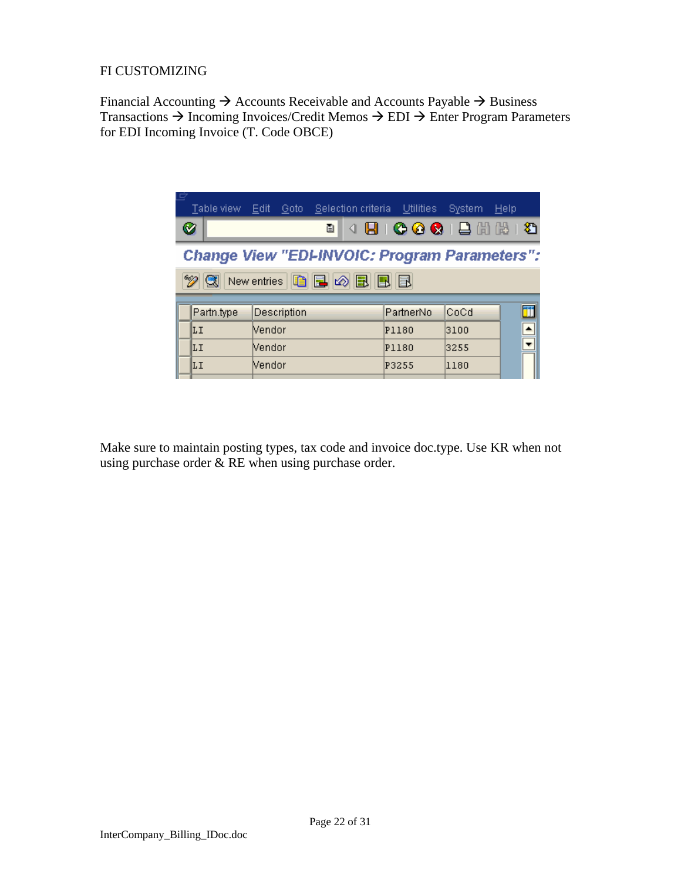### FI CUSTOMIZING

Financial Accounting  $\rightarrow$  Accounts Receivable and Accounts Payable  $\rightarrow$  Business Transactions  $\rightarrow$  Incoming Invoices/Credit Memos  $\rightarrow$  EDI  $\rightarrow$  Enter Program Parameters for EDI Incoming Invoice (T. Code OBCE)

|   | Table view                                    | Edit<br>Goto |   |  | Selection criteria Utilities System Help |      |                          |  |  |  |  |
|---|-----------------------------------------------|--------------|---|--|------------------------------------------|------|--------------------------|--|--|--|--|
| Ø |                                               |              | Ò |  | 4 B I C O Q I B H H 2                    |      |                          |  |  |  |  |
|   | Change View "EDI-INVOIC: Program Parameters": |              |   |  |                                          |      |                          |  |  |  |  |
|   | 3 New entries 0 国 2 国 国 国<br>$\frac{6}{2}$    |              |   |  |                                          |      |                          |  |  |  |  |
|   |                                               |              |   |  |                                          |      |                          |  |  |  |  |
|   | Partn.type                                    | Description  |   |  | PartnerNo                                | CoCd | ij                       |  |  |  |  |
|   | LΙ                                            | Mendor       |   |  | P1180                                    | 3100 | ▲                        |  |  |  |  |
|   | LΙ                                            | Nendor       |   |  | P1180                                    | 3255 | $\overline{\phantom{0}}$ |  |  |  |  |
|   | IJΙ                                           | Nendor       |   |  | P3255                                    | 1180 |                          |  |  |  |  |
|   |                                               |              |   |  |                                          |      |                          |  |  |  |  |

Make sure to maintain posting types, tax code and invoice doc.type. Use KR when not using purchase order & RE when using purchase order.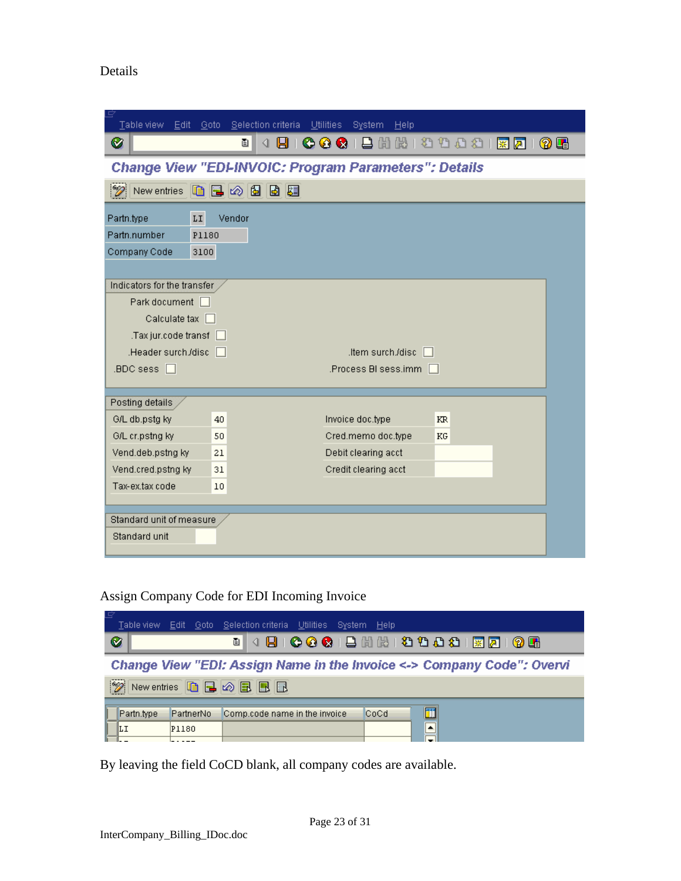# Details

| P<br>Table view<br>Edit              | Selection criteria<br>Goto<br>Utilities<br><b>System</b><br>Help. |
|--------------------------------------|-------------------------------------------------------------------|
| Ø                                    | C G C I B H H H O O O O I R 2 I<br>ū<br>Ы<br>(?) UB<br>◁          |
|                                      | Change View "EDI-INVOIC: Program Parameters": Details             |
| $^\circ\!\mathscr{D}$<br>New entries | 电国内日日日                                                            |
| Partn.type<br>LI                     | Vendor                                                            |
| Partn.number                         | <b>P1180</b>                                                      |
| Company Code<br>3100                 |                                                                   |
|                                      |                                                                   |
| Indicators for the transfer          |                                                                   |
| Park document $\Box$                 |                                                                   |
| Calculate tax $\Box$                 |                                                                   |
| Tax jur.code transf                  |                                                                   |
| .Header surch,/disc $\Box$           | ltem surch./disc                                                  |
| $BDC$ sess $\Box$                    | Process BI sess.imm                                               |
|                                      |                                                                   |
| Posting details                      |                                                                   |
| G/L db.pstg ky                       | Invoice doc.type<br>40<br>KR                                      |
| G/L cr.pstng ky                      | Cred.memo doc.type<br>50<br>KG                                    |
| Vend.deb.pstng ky                    | Debit clearing acct<br>21                                         |
| Vend.cred.pstng ky                   | Credit clearing acct<br>31                                        |
| Tax-ex.tax code                      | 10                                                                |
|                                      |                                                                   |
| Standard unit of measure             |                                                                   |
| Standard unit                        |                                                                   |
|                                      |                                                                   |

# Assign Company Code for EDI Incoming Invoice

|                                      |           | Table view Edit Goto Selection criteria Utilities System Help          |  |  |  |  |  |  |
|--------------------------------------|-----------|------------------------------------------------------------------------|--|--|--|--|--|--|
| Ø                                    |           | <b>4 8 6 6 6 1 8 1 8 1 8 1 8 1 8 1 8 7 1 8 8 1</b><br>圁                |  |  |  |  |  |  |
|                                      |           | Change View "EDI: Assign Name in the Invoice <-> Company Code": Overvi |  |  |  |  |  |  |
| <sup>2</sup> New entries G B B B B B |           |                                                                        |  |  |  |  |  |  |
|                                      |           |                                                                        |  |  |  |  |  |  |
| Partn.type                           | PartnerNo | CoCd<br>Complcode name in the invoice                                  |  |  |  |  |  |  |
|                                      | P1180     |                                                                        |  |  |  |  |  |  |
|                                      |           |                                                                        |  |  |  |  |  |  |

By leaving the field CoCD blank, all company codes are available.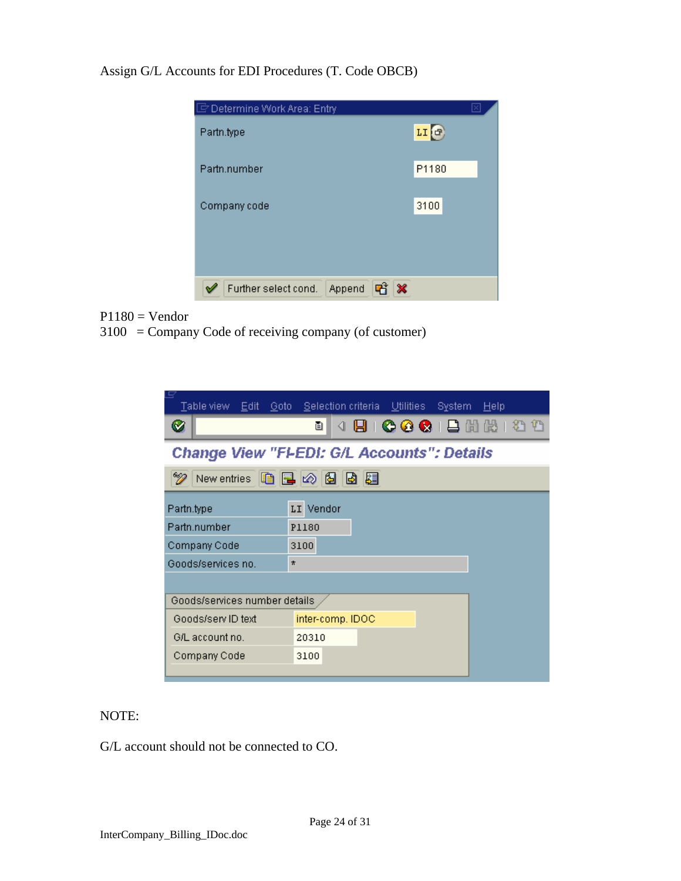Assign G/L Accounts for EDI Procedures (T. Code OBCB)

| □ Determine Work Area: Entry        |       |
|-------------------------------------|-------|
| Partn.type                          | LI(3) |
| Partn.number                        | P1180 |
| Company code                        | 3100  |
|                                     |       |
| ×<br>Further select cond.<br>Append |       |

 $P1180 = V$ endor

3100 = Company Code of receiving company (of customer)

| Table view                                                                                             | Edit Goto Selection-criteria Utilities System<br><b>Help</b> |
|--------------------------------------------------------------------------------------------------------|--------------------------------------------------------------|
| Ø                                                                                                      | 8.000.8.8.8.3<br>ū<br>◁                                      |
|                                                                                                        | <b>Change View "FI-EDI: G/L Accounts": Details</b>           |
| 99<br>New entries $\begin{array}{ c c c }\n\hline\n\bullet & \bullet & \bullet & \bullet\n\end{array}$ | 153 K.J                                                      |
| Partn.type                                                                                             | LI Vendor                                                    |
| Partn.number                                                                                           | <b>P1180</b>                                                 |
| Company Code                                                                                           | 3100                                                         |
| Goods/services no.                                                                                     | $\star$                                                      |
|                                                                                                        |                                                              |
| Goods/services number details                                                                          |                                                              |
| Goods/serv ID text                                                                                     | inter-comp. IDOC                                             |
| G/L account no.                                                                                        | 20310                                                        |
| Company Code                                                                                           | 3100                                                         |
|                                                                                                        |                                                              |

NOTE:

G/L account should not be connected to CO.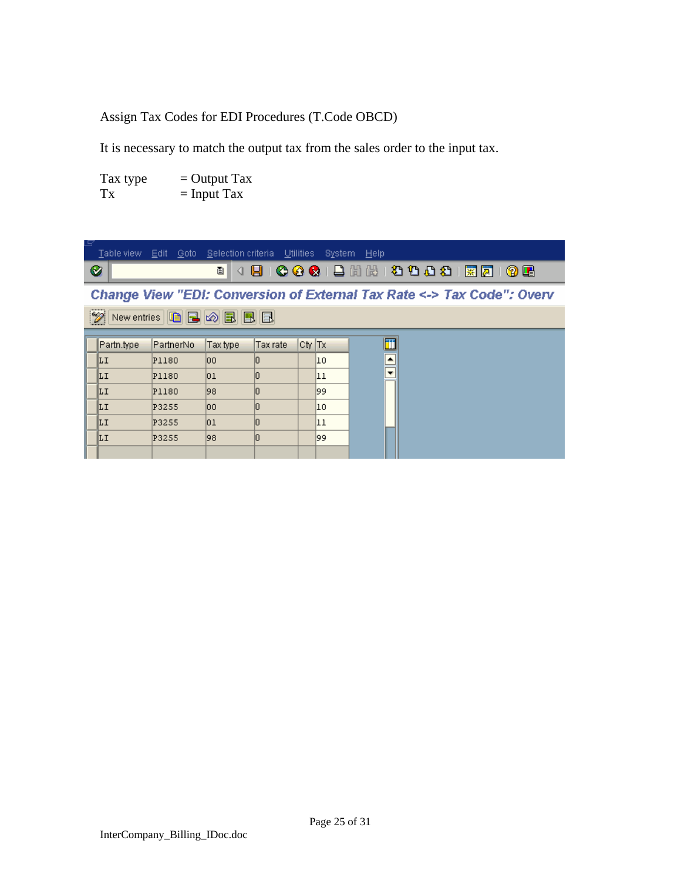Assign Tax Codes for EDI Procedures (T.Code OBCD)

It is necessary to match the output tax from the sales order to the input tax.

Tax type  $=$  Output Tax<br>Tx  $=$  Input Tax  $=$  Input Tax

|                                                          |            | Table view Edit Goto Selection criteria Utilities System Help |          |          |        |     |  |           |                                                                        |
|----------------------------------------------------------|------------|---------------------------------------------------------------|----------|----------|--------|-----|--|-----------|------------------------------------------------------------------------|
| Ø                                                        |            |                                                               | ū<br>◁   | Ч        |        |     |  |           | <b>COCIEHHTODOSINAI</b><br>(?) [B]                                     |
|                                                          |            |                                                               |          |          |        |     |  |           | Change View "EDI: Conversion of External Tax Rate <-> Tax Code": Overv |
| $^6\!\mathscr{D}$<br>New entries <b>Q</b> Q Q <b>B</b> B |            |                                                               |          |          |        |     |  |           |                                                                        |
|                                                          |            |                                                               |          |          |        |     |  |           |                                                                        |
|                                                          | Partn.type | PartnerNo                                                     | Tax type | Tax rate | Cty Tx |     |  |           |                                                                        |
|                                                          | IJI        | P1180                                                         | loo.     | 10       |        | 10  |  |           |                                                                        |
|                                                          | IJІ        | P1180                                                         | 10       | 10       |        | 11  |  | $\bullet$ |                                                                        |
|                                                          | LI         | P1180                                                         | 98.      | Ю        |        | 199 |  |           |                                                                        |
|                                                          | IJΙ        | P3255                                                         | loo.     | 10       |        | 10  |  |           |                                                                        |
|                                                          | LI         | P3255                                                         | 101      | 10       |        | 11  |  |           |                                                                        |
|                                                          | IJ         | P3255                                                         | 98       | Ю        |        | 199 |  |           |                                                                        |
|                                                          |            |                                                               |          |          |        |     |  |           |                                                                        |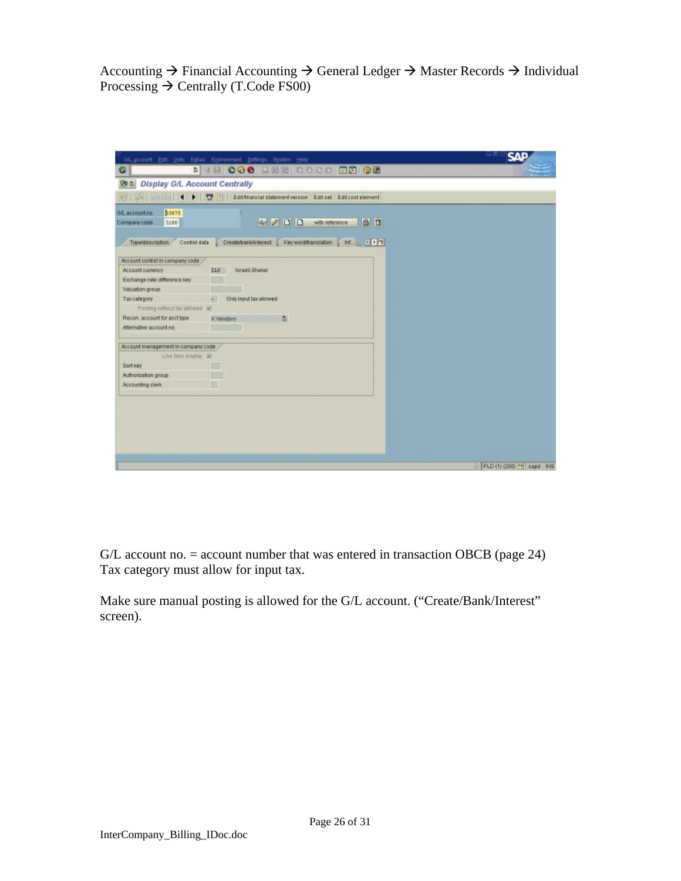Accounting  $\rightarrow$  Financial Accounting  $\rightarrow$  General Ledger  $\rightarrow$  Master Records  $\rightarrow$  Individual Processing  $\rightarrow$  Centrally (T.Code FS00)

| 罗门<br>5 2 5 1<br>$\blacksquare$<br>Edit financial statement version Edit set Edit cost element<br>昭<br>33075<br>$& 2$ D D<br>a a<br>with reference<br>3100<br>Keywordtranslation   Inf   1   1   1<br>Type/description<br>Control data<br>Create/bank/interest<br><b>Israeli Shekel</b><br>Account currency<br>IIS<br>Exchange rate difference key<br>Valuation group<br>Only input tax allowed<br>Tax category<br>н<br>Posting without fax allowed M<br>Recon. account for acct type<br>五<br><b>K</b> Vendors<br>Alternative account no:<br>Line tem display<br>Sort key<br>Authorization group<br>Accounting clerk | <b>@ a Display G/L Account Centrally</b> |  |
|----------------------------------------------------------------------------------------------------------------------------------------------------------------------------------------------------------------------------------------------------------------------------------------------------------------------------------------------------------------------------------------------------------------------------------------------------------------------------------------------------------------------------------------------------------------------------------------------------------------------|------------------------------------------|--|
| OfL account no.<br>Company code<br>Account control in company code<br>Account management in company code                                                                                                                                                                                                                                                                                                                                                                                                                                                                                                             |                                          |  |
|                                                                                                                                                                                                                                                                                                                                                                                                                                                                                                                                                                                                                      |                                          |  |
|                                                                                                                                                                                                                                                                                                                                                                                                                                                                                                                                                                                                                      |                                          |  |
|                                                                                                                                                                                                                                                                                                                                                                                                                                                                                                                                                                                                                      |                                          |  |
|                                                                                                                                                                                                                                                                                                                                                                                                                                                                                                                                                                                                                      |                                          |  |
|                                                                                                                                                                                                                                                                                                                                                                                                                                                                                                                                                                                                                      |                                          |  |
|                                                                                                                                                                                                                                                                                                                                                                                                                                                                                                                                                                                                                      |                                          |  |
|                                                                                                                                                                                                                                                                                                                                                                                                                                                                                                                                                                                                                      |                                          |  |
|                                                                                                                                                                                                                                                                                                                                                                                                                                                                                                                                                                                                                      |                                          |  |
|                                                                                                                                                                                                                                                                                                                                                                                                                                                                                                                                                                                                                      |                                          |  |
|                                                                                                                                                                                                                                                                                                                                                                                                                                                                                                                                                                                                                      |                                          |  |
|                                                                                                                                                                                                                                                                                                                                                                                                                                                                                                                                                                                                                      |                                          |  |
|                                                                                                                                                                                                                                                                                                                                                                                                                                                                                                                                                                                                                      |                                          |  |
|                                                                                                                                                                                                                                                                                                                                                                                                                                                                                                                                                                                                                      |                                          |  |
|                                                                                                                                                                                                                                                                                                                                                                                                                                                                                                                                                                                                                      |                                          |  |
|                                                                                                                                                                                                                                                                                                                                                                                                                                                                                                                                                                                                                      |                                          |  |
|                                                                                                                                                                                                                                                                                                                                                                                                                                                                                                                                                                                                                      |                                          |  |
|                                                                                                                                                                                                                                                                                                                                                                                                                                                                                                                                                                                                                      |                                          |  |
|                                                                                                                                                                                                                                                                                                                                                                                                                                                                                                                                                                                                                      |                                          |  |
|                                                                                                                                                                                                                                                                                                                                                                                                                                                                                                                                                                                                                      |                                          |  |
|                                                                                                                                                                                                                                                                                                                                                                                                                                                                                                                                                                                                                      |                                          |  |
|                                                                                                                                                                                                                                                                                                                                                                                                                                                                                                                                                                                                                      |                                          |  |
|                                                                                                                                                                                                                                                                                                                                                                                                                                                                                                                                                                                                                      |                                          |  |

G/L account no. = account number that was entered in transaction OBCB (page 24) Tax category must allow for input tax.

Make sure manual posting is allowed for the G/L account. ("Create/Bank/Interest" screen).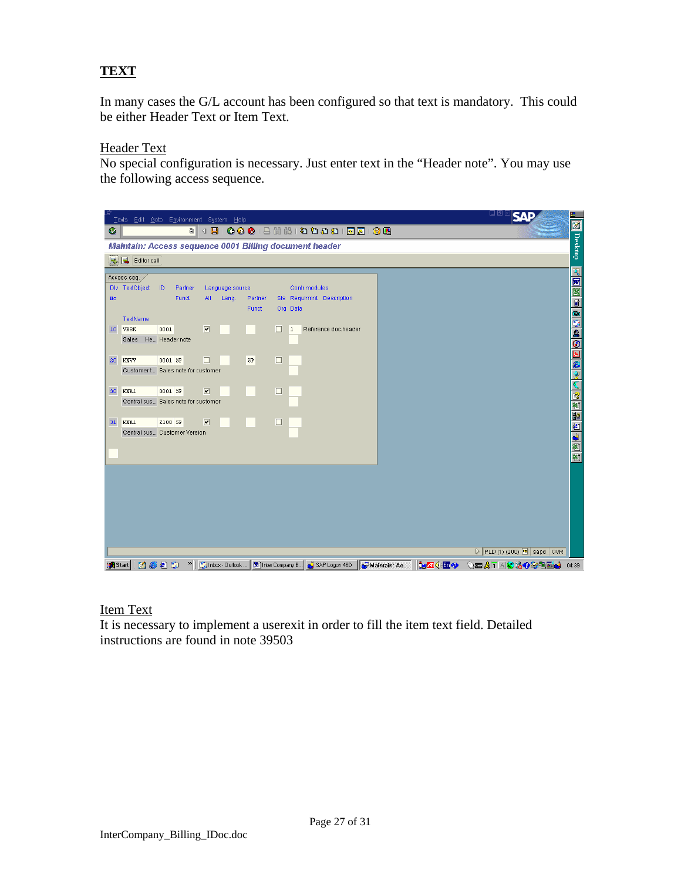## **TEXT**

In many cases the G/L account has been configured so that text is mandatory. This could be either Header Text or Item Text.

#### Header Text

No special configuration is necessary. Just enter text in the "Header note". You may use the following access sequence.



### Item Text

It is necessary to implement a userexit in order to fill the item text field. Detailed instructions are found in note 39503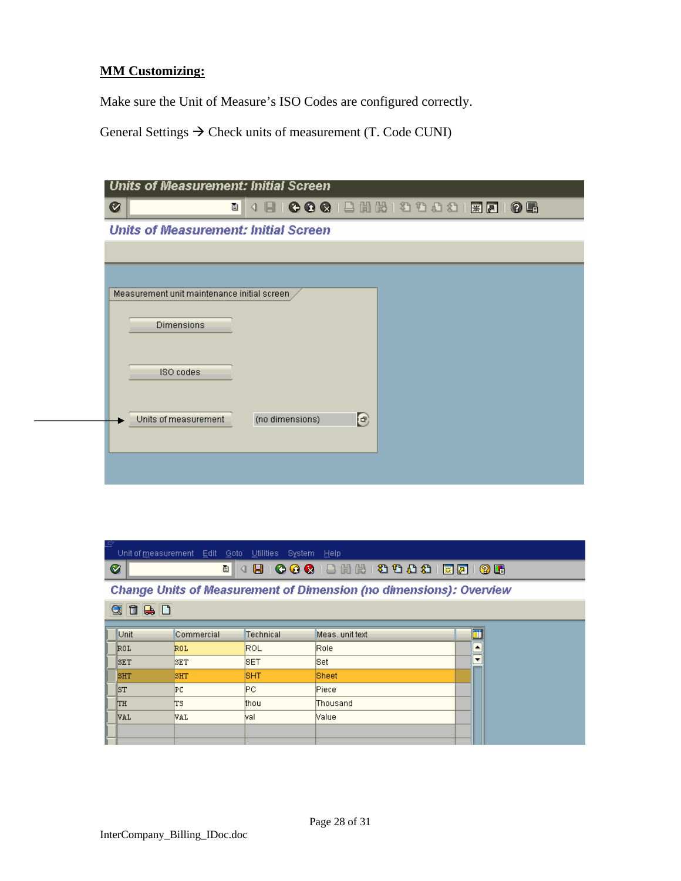## **MM Customizing:**

Make sure the Unit of Measure's ISO Codes are configured correctly.

General Settings  $\rightarrow$  Check units of measurement (T. Code CUNI)

| <b>Units of Measurement: Initial Screen</b>           |
|-------------------------------------------------------|
| Ø<br>圁<br>◁                                           |
| <b>Units of Measurement: Initial Screen</b>           |
|                                                       |
|                                                       |
| Measurement unit maintenance initial screen           |
| <b>Dimensions</b>                                     |
|                                                       |
|                                                       |
| ISO codes                                             |
|                                                       |
| $\bigcirc$<br>Units of measurement<br>(no dimensions) |
|                                                       |
|                                                       |
|                                                       |

|           | Unit of measurement Edit Goto Utilities System Help |  |  |                                               |
|-----------|-----------------------------------------------------|--|--|-----------------------------------------------|
| $\bullet$ |                                                     |  |  | . 1 4 8 6 6 6 6 6 6 6 6 7 8 9 6 7 8 7 8 7 8 7 |

**Change Units of Measurement of Dimension (no dimensions): Overview** 

|  | GIBD       |            |             |                 |  |   |  |  |  |  |  |  |
|--|------------|------------|-------------|-----------------|--|---|--|--|--|--|--|--|
|  | Unit       | Commercial | Technical   | Meas, unit text |  |   |  |  |  |  |  |  |
|  | R0L        | ROL.       | <b>ROL</b>  | Role            |  | ▲ |  |  |  |  |  |  |
|  | SET        | <b>SET</b> | <b>ISET</b> | <b>Set</b>      |  |   |  |  |  |  |  |  |
|  | <b>SHT</b> | <b>SHT</b> | <b>SHT</b>  | Sheet           |  |   |  |  |  |  |  |  |
|  | ∥sт        | IPC.       | lРC.        | Piece           |  |   |  |  |  |  |  |  |
|  | l'I'H      | ΙTS.       | thou        | Thousand        |  |   |  |  |  |  |  |  |
|  | VAL        | VAL.       | lval        | <b>Nalue</b>    |  |   |  |  |  |  |  |  |
|  |            |            |             |                 |  |   |  |  |  |  |  |  |
|  |            |            |             |                 |  |   |  |  |  |  |  |  |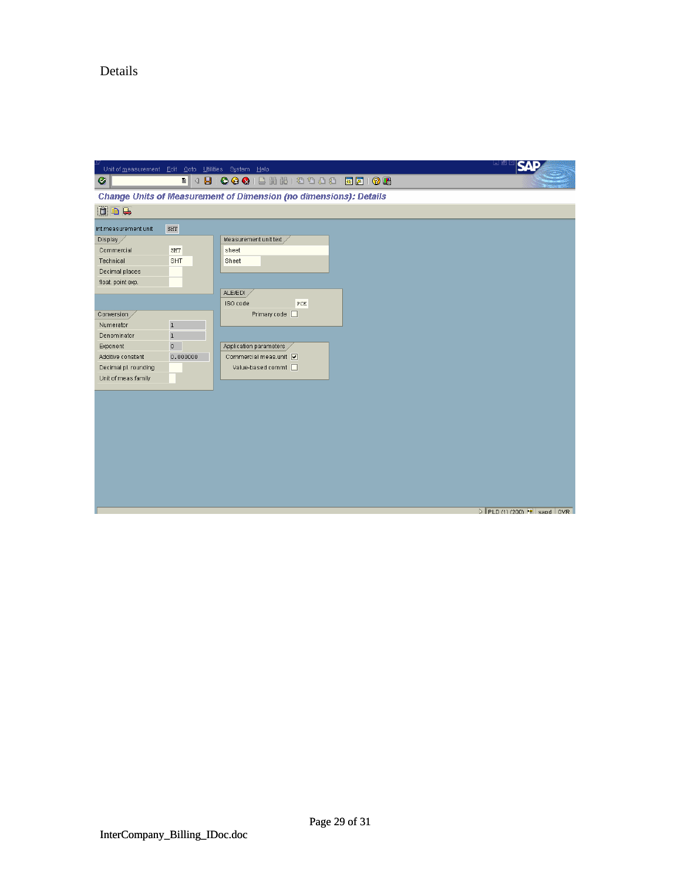# Details

| Unit of measurement Edit Goto Utilities System Help                      |                |                         | 님변전<br><b>SAP</b>                                             |  |  |  |  |  |
|--------------------------------------------------------------------------|----------------|-------------------------|---------------------------------------------------------------|--|--|--|--|--|
| Ø                                                                        |                |                         |                                                               |  |  |  |  |  |
| <b>Change Units of Measurement of Dimension (no dimensions): Details</b> |                |                         |                                                               |  |  |  |  |  |
|                                                                          |                |                         |                                                               |  |  |  |  |  |
| int.measurement unit                                                     | SHT            |                         |                                                               |  |  |  |  |  |
| Display                                                                  |                | Measurement unit text / |                                                               |  |  |  |  |  |
| Commercial                                                               | SHT            | sheet                   |                                                               |  |  |  |  |  |
| Technical                                                                | SHT            | Sheet                   |                                                               |  |  |  |  |  |
| Decimal places                                                           |                |                         |                                                               |  |  |  |  |  |
| float. point exp.                                                        |                |                         |                                                               |  |  |  |  |  |
|                                                                          |                | ALE/EDI                 |                                                               |  |  |  |  |  |
|                                                                          |                | PCE<br>ISO code         |                                                               |  |  |  |  |  |
| Conversion                                                               |                | Primary code            |                                                               |  |  |  |  |  |
| Numerator                                                                | $\mathbf 1$    |                         |                                                               |  |  |  |  |  |
| Denominator                                                              | $\mathbf 1$    |                         |                                                               |  |  |  |  |  |
| Exponent                                                                 | $\overline{0}$ | Application parameters  |                                                               |  |  |  |  |  |
| Additive constant                                                        | 0.000000       | Commercial meas.unit    |                                                               |  |  |  |  |  |
| Decimal pl. rounding                                                     |                | Value-based commt       |                                                               |  |  |  |  |  |
| Unit of meas.family                                                      |                |                         |                                                               |  |  |  |  |  |
|                                                                          |                |                         |                                                               |  |  |  |  |  |
|                                                                          |                |                         |                                                               |  |  |  |  |  |
|                                                                          |                |                         |                                                               |  |  |  |  |  |
|                                                                          |                |                         |                                                               |  |  |  |  |  |
|                                                                          |                |                         |                                                               |  |  |  |  |  |
|                                                                          |                |                         |                                                               |  |  |  |  |  |
|                                                                          |                |                         |                                                               |  |  |  |  |  |
|                                                                          |                |                         |                                                               |  |  |  |  |  |
|                                                                          |                |                         |                                                               |  |  |  |  |  |
|                                                                          |                |                         |                                                               |  |  |  |  |  |
|                                                                          |                |                         |                                                               |  |  |  |  |  |
|                                                                          |                |                         | $\triangleright$ PLD (1) (200) $\blacktriangleright$ sand OVR |  |  |  |  |  |
|                                                                          |                |                         |                                                               |  |  |  |  |  |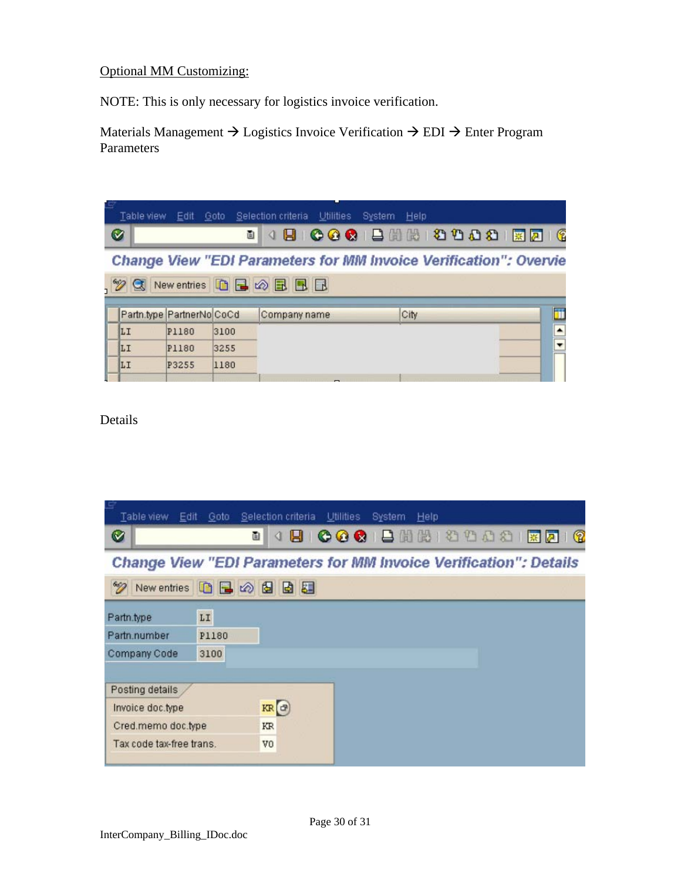# Optional MM Customizing:

NOTE: This is only necessary for logistics invoice verification.

Materials Management  $\rightarrow$  Logistics Invoice Verification  $\rightarrow$  EDI  $\rightarrow$  Enter Program Parameters

|                            | Selection criteria Utilities System Help<br>Table view<br>Edit<br>Goto |              |      |                                 |  |  |  |  |  |  |  |  |  |
|----------------------------|------------------------------------------------------------------------|--------------|------|---------------------------------|--|--|--|--|--|--|--|--|--|
|                            | Ø                                                                      |              | 面    | 4 B 6 G & B H H 2 D D & R 2 1 G |  |  |  |  |  |  |  |  |  |
|                            | Change View "EDI Parameters for MM Invoice Verification": Overvie      |              |      |                                 |  |  |  |  |  |  |  |  |  |
| 20 New entries G B B B B B |                                                                        |              |      |                                 |  |  |  |  |  |  |  |  |  |
|                            | Partn.type PartnerNo CoCd                                              |              |      | ij<br>City<br>Company name      |  |  |  |  |  |  |  |  |  |
|                            | LI                                                                     | <b>P1180</b> | 3100 |                                 |  |  |  |  |  |  |  |  |  |
|                            | LI                                                                     | <b>P1180</b> | 3255 |                                 |  |  |  |  |  |  |  |  |  |
|                            | LI                                                                     | P3255        | 1180 |                                 |  |  |  |  |  |  |  |  |  |
|                            |                                                                        |              |      |                                 |  |  |  |  |  |  |  |  |  |

## Details

| Table view Edit Goto Selection criteria Utilities System                 |              |                       |  |  | Help                                       |  |  |  |  |
|--------------------------------------------------------------------------|--------------|-----------------------|--|--|--------------------------------------------|--|--|--|--|
| Ø                                                                        |              | ū<br>$\mathcal{L}$    |  |  | <b>B COC B M &amp; D D D &amp; R 0 1 G</b> |  |  |  |  |
| <b>Change View "EDI Parameters for MM Invoice Verification": Details</b> |              |                       |  |  |                                            |  |  |  |  |
| <sup>※</sup> New entries □ ■ ∞ 图 国 国                                     |              |                       |  |  |                                            |  |  |  |  |
| Partn.type                                                               | LI           |                       |  |  |                                            |  |  |  |  |
| Partn.number                                                             | <b>P1180</b> |                       |  |  |                                            |  |  |  |  |
| Company Code                                                             | 3100         |                       |  |  |                                            |  |  |  |  |
| Posting details                                                          |              |                       |  |  |                                            |  |  |  |  |
| Invoice doc.type                                                         |              | $KR$ $($ $\sigma$ $)$ |  |  |                                            |  |  |  |  |
| Cred.memo doc.type                                                       |              | KR                    |  |  |                                            |  |  |  |  |
| Tax code tax-free trans.                                                 |              | V <sub>0</sub>        |  |  |                                            |  |  |  |  |